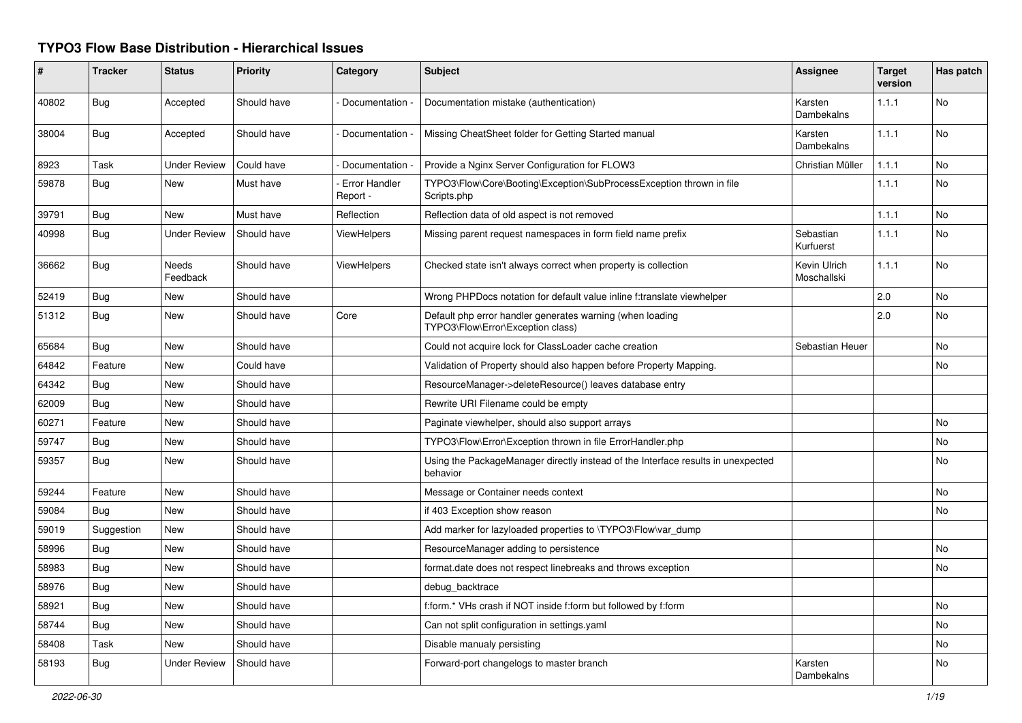## **TYPO3 Flow Base Distribution - Hierarchical Issues**

| #     | <b>Tracker</b> | <b>Status</b>            | <b>Priority</b> | Category                         | <b>Subject</b>                                                                                 | Assignee                    | <b>Target</b><br>version | Has patch |
|-------|----------------|--------------------------|-----------------|----------------------------------|------------------------------------------------------------------------------------------------|-----------------------------|--------------------------|-----------|
| 40802 | Bug            | Accepted                 | Should have     | Documentation -                  | Documentation mistake (authentication)                                                         | Karsten<br>Dambekalns       | 1.1.1                    | <b>No</b> |
| 38004 | <b>Bug</b>     | Accepted                 | Should have     | Documentation                    | Missing CheatSheet folder for Getting Started manual                                           | Karsten<br>Dambekalns       | 1.1.1                    | <b>No</b> |
| 8923  | Task           | <b>Under Review</b>      | Could have      | Documentation -                  | Provide a Nginx Server Configuration for FLOW3                                                 | Christian Müller            | 1.1.1                    | <b>No</b> |
| 59878 | Bug            | <b>New</b>               | Must have       | <b>Error Handler</b><br>Report - | TYPO3\Flow\Core\Booting\Exception\SubProcessException thrown in file<br>Scripts.php            |                             | 1.1.1                    | No        |
| 39791 | Bug            | New                      | Must have       | Reflection                       | Reflection data of old aspect is not removed                                                   |                             | 1.1.1                    | <b>No</b> |
| 40998 | Bug            | <b>Under Review</b>      | Should have     | <b>ViewHelpers</b>               | Missing parent request namespaces in form field name prefix                                    | Sebastian<br>Kurfuerst      | 1.1.1                    | No        |
| 36662 | Bug            | <b>Needs</b><br>Feedback | Should have     | <b>ViewHelpers</b>               | Checked state isn't always correct when property is collection                                 | Kevin Ulrich<br>Moschallski | 1.1.1                    | <b>No</b> |
| 52419 | Bug            | New                      | Should have     |                                  | Wrong PHPDocs notation for default value inline f:translate viewhelper                         |                             | 2.0                      | No.       |
| 51312 | Bug            | <b>New</b>               | Should have     | Core                             | Default php error handler generates warning (when loading<br>TYPO3\Flow\Error\Exception class) |                             | 2.0                      | <b>No</b> |
| 65684 | Bug            | <b>New</b>               | Should have     |                                  | Could not acquire lock for ClassLoader cache creation                                          | Sebastian Heuer             |                          | No        |
| 64842 | Feature        | New                      | Could have      |                                  | Validation of Property should also happen before Property Mapping.                             |                             |                          | No        |
| 64342 | Bug            | <b>New</b>               | Should have     |                                  | ResourceManager->deleteResource() leaves database entry                                        |                             |                          |           |
| 62009 | Bug            | <b>New</b>               | Should have     |                                  | Rewrite URI Filename could be empty                                                            |                             |                          |           |
| 60271 | Feature        | <b>New</b>               | Should have     |                                  | Paginate viewhelper, should also support arrays                                                |                             |                          | <b>No</b> |
| 59747 | Bug            | <b>New</b>               | Should have     |                                  | TYPO3\Flow\Error\Exception thrown in file ErrorHandler.php                                     |                             |                          | No        |
| 59357 | Bug            | New                      | Should have     |                                  | Using the PackageManager directly instead of the Interface results in unexpected<br>behavior   |                             |                          | <b>No</b> |
| 59244 | Feature        | New                      | Should have     |                                  | Message or Container needs context                                                             |                             |                          | No        |
| 59084 | <b>Bug</b>     | <b>New</b>               | Should have     |                                  | if 403 Exception show reason                                                                   |                             |                          | No        |
| 59019 | Suggestion     | New                      | Should have     |                                  | Add marker for lazyloaded properties to \TYPO3\Flow\var dump                                   |                             |                          |           |
| 58996 | Bug            | <b>New</b>               | Should have     |                                  | ResourceManager adding to persistence                                                          |                             |                          | No        |
| 58983 | Bug            | New                      | Should have     |                                  | format.date does not respect linebreaks and throws exception                                   |                             |                          | <b>No</b> |
| 58976 | Bug            | New                      | Should have     |                                  | debug backtrace                                                                                |                             |                          |           |
| 58921 | Bug            | New                      | Should have     |                                  | f:form.* VHs crash if NOT inside f:form but followed by f:form                                 |                             |                          | No        |
| 58744 | Bug            | New                      | Should have     |                                  | Can not split configuration in settings yaml                                                   |                             |                          | No        |
| 58408 | Task           | New                      | Should have     |                                  | Disable manualy persisting                                                                     |                             |                          | No        |
| 58193 | Bug            | <b>Under Review</b>      | Should have     |                                  | Forward-port changelogs to master branch                                                       | Karsten<br>Dambekalns       |                          | No        |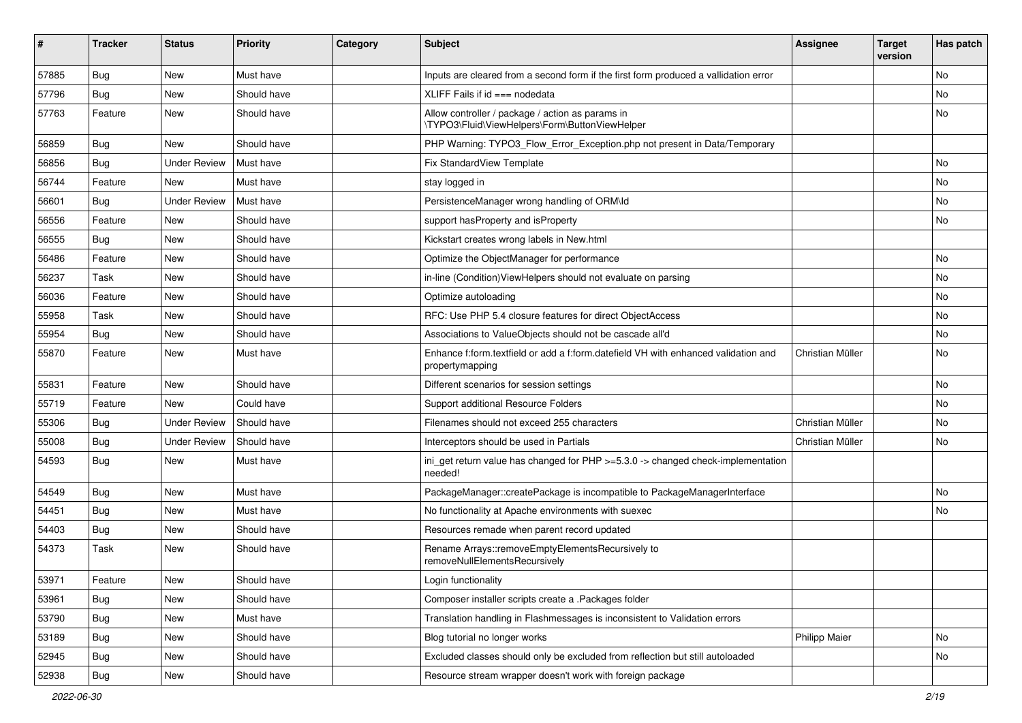| ∦     | <b>Tracker</b> | <b>Status</b>       | <b>Priority</b> | Category | <b>Subject</b>                                                                                        | <b>Assignee</b>      | <b>Target</b><br>version | Has patch |
|-------|----------------|---------------------|-----------------|----------|-------------------------------------------------------------------------------------------------------|----------------------|--------------------------|-----------|
| 57885 | Bug            | New                 | Must have       |          | Inputs are cleared from a second form if the first form produced a vallidation error                  |                      |                          | No        |
| 57796 | <b>Bug</b>     | New                 | Should have     |          | XLIFF Fails if $id ==$ nodedata                                                                       |                      |                          | No        |
| 57763 | Feature        | New                 | Should have     |          | Allow controller / package / action as params in<br>\TYPO3\Fluid\ViewHelpers\Form\ButtonViewHelper    |                      |                          | No        |
| 56859 | Bug            | New                 | Should have     |          | PHP Warning: TYPO3_Flow_Error_Exception.php not present in Data/Temporary                             |                      |                          |           |
| 56856 | Bug            | <b>Under Review</b> | Must have       |          | Fix StandardView Template                                                                             |                      |                          | No        |
| 56744 | Feature        | New                 | Must have       |          | stay logged in                                                                                        |                      |                          | No        |
| 56601 | <b>Bug</b>     | <b>Under Review</b> | Must have       |          | PersistenceManager wrong handling of ORM\ld                                                           |                      |                          | No        |
| 56556 | Feature        | New                 | Should have     |          | support hasProperty and isProperty                                                                    |                      |                          | No        |
| 56555 | Bug            | <b>New</b>          | Should have     |          | Kickstart creates wrong labels in New.html                                                            |                      |                          |           |
| 56486 | Feature        | New                 | Should have     |          | Optimize the ObjectManager for performance                                                            |                      |                          | No        |
| 56237 | Task           | <b>New</b>          | Should have     |          | in-line (Condition) ViewHelpers should not evaluate on parsing                                        |                      |                          | No        |
| 56036 | Feature        | New                 | Should have     |          | Optimize autoloading                                                                                  |                      |                          | No        |
| 55958 | Task           | <b>New</b>          | Should have     |          | RFC: Use PHP 5.4 closure features for direct ObjectAccess                                             |                      |                          | No        |
| 55954 | <b>Bug</b>     | New                 | Should have     |          | Associations to ValueObjects should not be cascade all'd                                              |                      |                          | No        |
| 55870 | Feature        | New                 | Must have       |          | Enhance f:form.textfield or add a f:form.datefield VH with enhanced validation and<br>propertymapping | Christian Müller     |                          | No        |
| 55831 | Feature        | New                 | Should have     |          | Different scenarios for session settings                                                              |                      |                          | No        |
| 55719 | Feature        | New                 | Could have      |          | Support additional Resource Folders                                                                   |                      |                          | No        |
| 55306 | <b>Bug</b>     | <b>Under Review</b> | Should have     |          | Filenames should not exceed 255 characters                                                            | Christian Müller     |                          | No        |
| 55008 | <b>Bug</b>     | <b>Under Review</b> | Should have     |          | Interceptors should be used in Partials                                                               | Christian Müller     |                          | No        |
| 54593 | Bug            | New                 | Must have       |          | ini_get return value has changed for PHP >=5.3.0 -> changed check-implementation<br>needed!           |                      |                          |           |
| 54549 | <b>Bug</b>     | New                 | Must have       |          | PackageManager::createPackage is incompatible to PackageManagerInterface                              |                      |                          | No        |
| 54451 | Bug            | <b>New</b>          | Must have       |          | No functionality at Apache environments with suexec                                                   |                      |                          | No        |
| 54403 | <b>Bug</b>     | New                 | Should have     |          | Resources remade when parent record updated                                                           |                      |                          |           |
| 54373 | Task           | New                 | Should have     |          | Rename Arrays::removeEmptyElementsRecursively to<br>removeNullElementsRecursively                     |                      |                          |           |
| 53971 | Feature        | New                 | Should have     |          | Login functionality                                                                                   |                      |                          |           |
| 53961 | Bug            | New                 | Should have     |          | Composer installer scripts create a .Packages folder                                                  |                      |                          |           |
| 53790 | <b>Bug</b>     | New                 | Must have       |          | Translation handling in Flashmessages is inconsistent to Validation errors                            |                      |                          |           |
| 53189 | Bug            | New                 | Should have     |          | Blog tutorial no longer works                                                                         | <b>Philipp Maier</b> |                          | No        |
| 52945 | <b>Bug</b>     | New                 | Should have     |          | Excluded classes should only be excluded from reflection but still autoloaded                         |                      |                          | No        |
| 52938 | <b>Bug</b>     | New                 | Should have     |          | Resource stream wrapper doesn't work with foreign package                                             |                      |                          |           |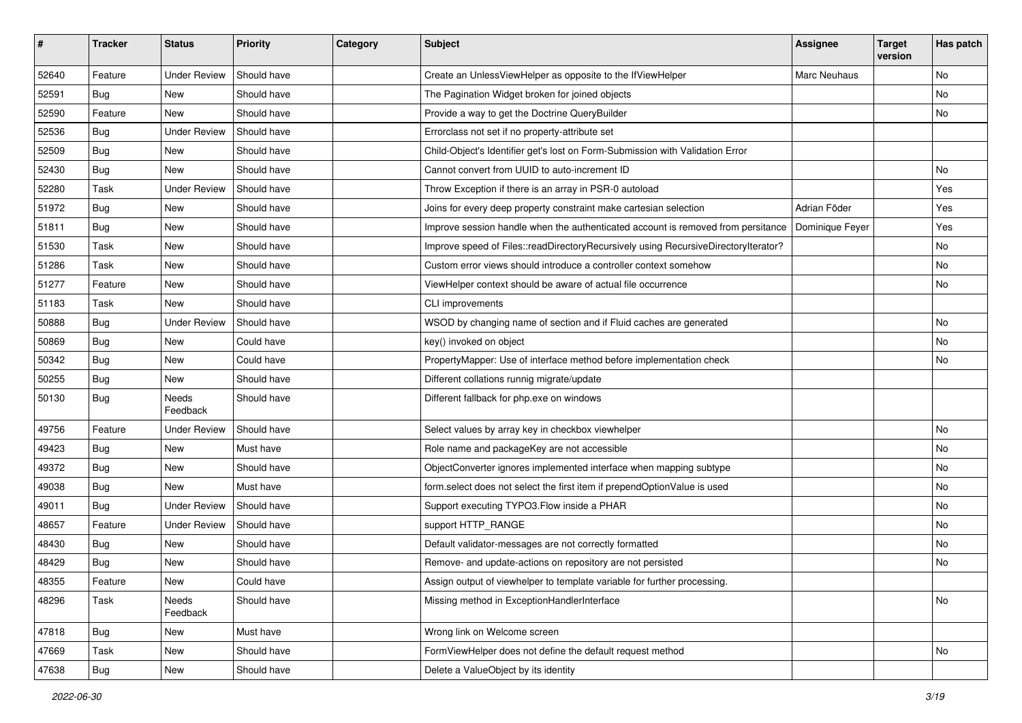| ∦     | <b>Tracker</b> | <b>Status</b>       | <b>Priority</b> | Category | <b>Subject</b>                                                                     | <b>Assignee</b>     | <b>Target</b><br>version | Has patch |
|-------|----------------|---------------------|-----------------|----------|------------------------------------------------------------------------------------|---------------------|--------------------------|-----------|
| 52640 | Feature        | <b>Under Review</b> | Should have     |          | Create an UnlessViewHelper as opposite to the IfViewHelper                         | <b>Marc Neuhaus</b> |                          | <b>No</b> |
| 52591 | Bug            | New                 | Should have     |          | The Pagination Widget broken for joined objects                                    |                     |                          | <b>No</b> |
| 52590 | Feature        | New                 | Should have     |          | Provide a way to get the Doctrine QueryBuilder                                     |                     |                          | No        |
| 52536 | Bug            | <b>Under Review</b> | Should have     |          | Errorclass not set if no property-attribute set                                    |                     |                          |           |
| 52509 | <b>Bug</b>     | New                 | Should have     |          | Child-Object's Identifier get's lost on Form-Submission with Validation Error      |                     |                          |           |
| 52430 | Bug            | New                 | Should have     |          | Cannot convert from UUID to auto-increment ID                                      |                     |                          | <b>No</b> |
| 52280 | Task           | <b>Under Review</b> | Should have     |          | Throw Exception if there is an array in PSR-0 autoload                             |                     |                          | Yes       |
| 51972 | <b>Bug</b>     | New                 | Should have     |          | Joins for every deep property constraint make cartesian selection                  | Adrian Föder        |                          | Yes       |
| 51811 | Bug            | <b>New</b>          | Should have     |          | Improve session handle when the authenticated account is removed from persitance   | Dominique Feyer     |                          | Yes       |
| 51530 | <b>Task</b>    | New                 | Should have     |          | Improve speed of Files::readDirectoryRecursively using RecursiveDirectoryIterator? |                     |                          | <b>No</b> |
| 51286 | <b>Task</b>    | <b>New</b>          | Should have     |          | Custom error views should introduce a controller context somehow                   |                     |                          | No        |
| 51277 | Feature        | New                 | Should have     |          | ViewHelper context should be aware of actual file occurrence                       |                     |                          | No        |
| 51183 | Task           | New                 | Should have     |          | CLI improvements                                                                   |                     |                          |           |
| 50888 | Bug            | <b>Under Review</b> | Should have     |          | WSOD by changing name of section and if Fluid caches are generated                 |                     |                          | <b>No</b> |
| 50869 | Bug            | New                 | Could have      |          | key() invoked on object                                                            |                     |                          | No        |
| 50342 | Bug            | New                 | Could have      |          | PropertyMapper: Use of interface method before implementation check                |                     |                          | No        |
| 50255 | Bug            | New                 | Should have     |          | Different collations runnig migrate/update                                         |                     |                          |           |
| 50130 | <b>Bug</b>     | Needs<br>Feedback   | Should have     |          | Different fallback for php.exe on windows                                          |                     |                          |           |
| 49756 | Feature        | <b>Under Review</b> | Should have     |          | Select values by array key in checkbox viewhelper                                  |                     |                          | No        |
| 49423 | <b>Bug</b>     | New                 | Must have       |          | Role name and packageKey are not accessible                                        |                     |                          | No        |
| 49372 | Bug            | <b>New</b>          | Should have     |          | ObjectConverter ignores implemented interface when mapping subtype                 |                     |                          | No        |
| 49038 | <b>Bug</b>     | New                 | Must have       |          | form.select does not select the first item if prependOptionValue is used           |                     |                          | <b>No</b> |
| 49011 | <b>Bug</b>     | <b>Under Review</b> | Should have     |          | Support executing TYPO3. Flow inside a PHAR                                        |                     |                          | No        |
| 48657 | Feature        | <b>Under Review</b> | Should have     |          | support HTTP_RANGE                                                                 |                     |                          | No        |
| 48430 | <b>Bug</b>     | New                 | Should have     |          | Default validator-messages are not correctly formatted                             |                     |                          | No        |
| 48429 | <b>Bug</b>     | New                 | Should have     |          | Remove- and update-actions on repository are not persisted                         |                     |                          | No        |
| 48355 | Feature        | New                 | Could have      |          | Assign output of viewhelper to template variable for further processing.           |                     |                          |           |
| 48296 | Task           | Needs<br>Feedback   | Should have     |          | Missing method in ExceptionHandlerInterface                                        |                     |                          | No        |
| 47818 | <b>Bug</b>     | <b>New</b>          | Must have       |          | Wrong link on Welcome screen                                                       |                     |                          |           |
| 47669 | Task           | New                 | Should have     |          | FormViewHelper does not define the default request method                          |                     |                          | No        |
| 47638 | Bug            | New                 | Should have     |          | Delete a ValueObject by its identity                                               |                     |                          |           |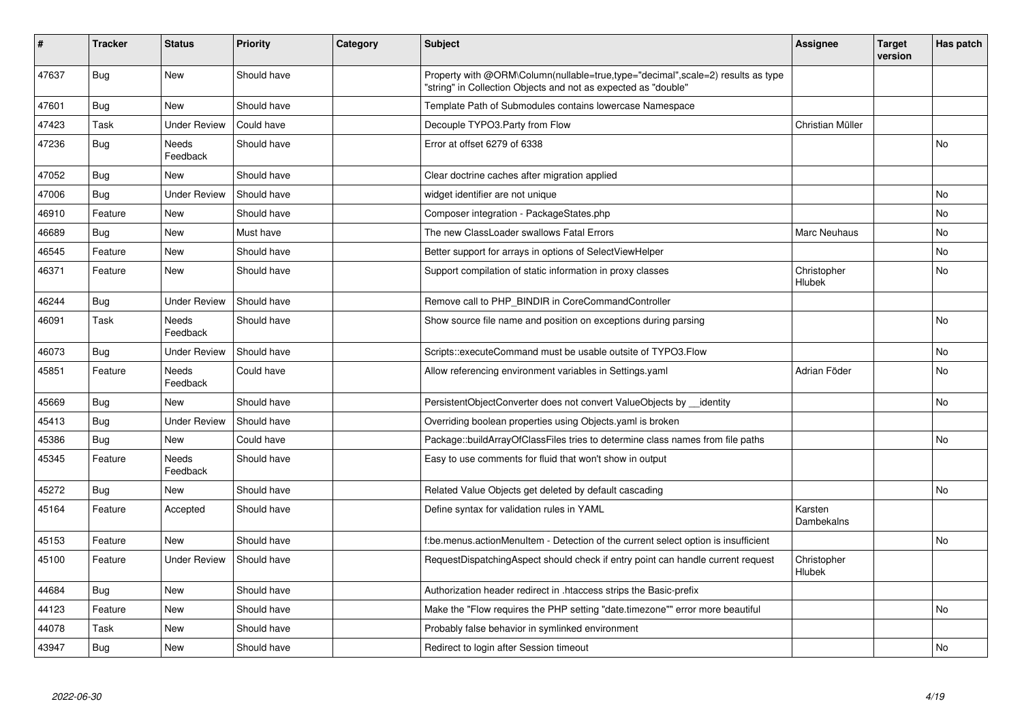| #     | <b>Tracker</b> | <b>Status</b>       | <b>Priority</b> | Category | <b>Subject</b>                                                                                                                                    | <b>Assignee</b>       | <b>Target</b><br>version | Has patch |
|-------|----------------|---------------------|-----------------|----------|---------------------------------------------------------------------------------------------------------------------------------------------------|-----------------------|--------------------------|-----------|
| 47637 | <b>Bug</b>     | <b>New</b>          | Should have     |          | Property with @ORM\Column(nullable=true,type="decimal",scale=2) results as type<br>"string" in Collection Objects and not as expected as "double" |                       |                          |           |
| 47601 | Bug            | <b>New</b>          | Should have     |          | Template Path of Submodules contains lowercase Namespace                                                                                          |                       |                          |           |
| 47423 | Task           | <b>Under Review</b> | Could have      |          | Decouple TYPO3.Party from Flow                                                                                                                    | Christian Müller      |                          |           |
| 47236 | Bug            | Needs<br>Feedback   | Should have     |          | Error at offset 6279 of 6338                                                                                                                      |                       |                          | No        |
| 47052 | <b>Bug</b>     | New                 | Should have     |          | Clear doctrine caches after migration applied                                                                                                     |                       |                          |           |
| 47006 | Bug            | <b>Under Review</b> | Should have     |          | widget identifier are not unique                                                                                                                  |                       |                          | No        |
| 46910 | Feature        | New                 | Should have     |          | Composer integration - PackageStates.php                                                                                                          |                       |                          | <b>No</b> |
| 46689 | Bug            | New                 | Must have       |          | The new ClassLoader swallows Fatal Errors                                                                                                         | Marc Neuhaus          |                          | No        |
| 46545 | Feature        | New                 | Should have     |          | Better support for arrays in options of SelectViewHelper                                                                                          |                       |                          | No        |
| 46371 | Feature        | New                 | Should have     |          | Support compilation of static information in proxy classes                                                                                        | Christopher<br>Hlubek |                          | No        |
| 46244 | Bug            | <b>Under Review</b> | Should have     |          | Remove call to PHP_BINDIR in CoreCommandController                                                                                                |                       |                          |           |
| 46091 | Task           | Needs<br>Feedback   | Should have     |          | Show source file name and position on exceptions during parsing                                                                                   |                       |                          | <b>No</b> |
| 46073 | Bug            | <b>Under Review</b> | Should have     |          | Scripts::executeCommand must be usable outsite of TYPO3.Flow                                                                                      |                       |                          | <b>No</b> |
| 45851 | Feature        | Needs<br>Feedback   | Could have      |          | Allow referencing environment variables in Settings.yaml                                                                                          | Adrian Föder          |                          | No        |
| 45669 | <b>Bug</b>     | New                 | Should have     |          | PersistentObjectConverter does not convert ValueObjects by __identity                                                                             |                       |                          | <b>No</b> |
| 45413 | Bug            | <b>Under Review</b> | Should have     |          | Overriding boolean properties using Objects yaml is broken                                                                                        |                       |                          |           |
| 45386 | <b>Bug</b>     | <b>New</b>          | Could have      |          | Package::buildArrayOfClassFiles tries to determine class names from file paths                                                                    |                       |                          | <b>No</b> |
| 45345 | Feature        | Needs<br>Feedback   | Should have     |          | Easy to use comments for fluid that won't show in output                                                                                          |                       |                          |           |
| 45272 | Bug            | <b>New</b>          | Should have     |          | Related Value Objects get deleted by default cascading                                                                                            |                       |                          | No        |
| 45164 | Feature        | Accepted            | Should have     |          | Define syntax for validation rules in YAML                                                                                                        | Karsten<br>Dambekalns |                          |           |
| 45153 | Feature        | <b>New</b>          | Should have     |          | f:be.menus.actionMenuItem - Detection of the current select option is insufficient                                                                |                       |                          | <b>No</b> |
| 45100 | Feature        | <b>Under Review</b> | Should have     |          | RequestDispatchingAspect should check if entry point can handle current request                                                                   | Christopher<br>Hlubek |                          |           |
| 44684 | <b>Bug</b>     | <b>New</b>          | Should have     |          | Authorization header redirect in .htaccess strips the Basic-prefix                                                                                |                       |                          |           |
| 44123 | Feature        | New                 | Should have     |          | Make the "Flow requires the PHP setting "date.timezone"" error more beautiful                                                                     |                       |                          | <b>No</b> |
| 44078 | Task           | <b>New</b>          | Should have     |          | Probably false behavior in symlinked environment                                                                                                  |                       |                          |           |
| 43947 | Bug            | <b>New</b>          | Should have     |          | Redirect to login after Session timeout                                                                                                           |                       |                          | <b>No</b> |
|       |                |                     |                 |          |                                                                                                                                                   |                       |                          |           |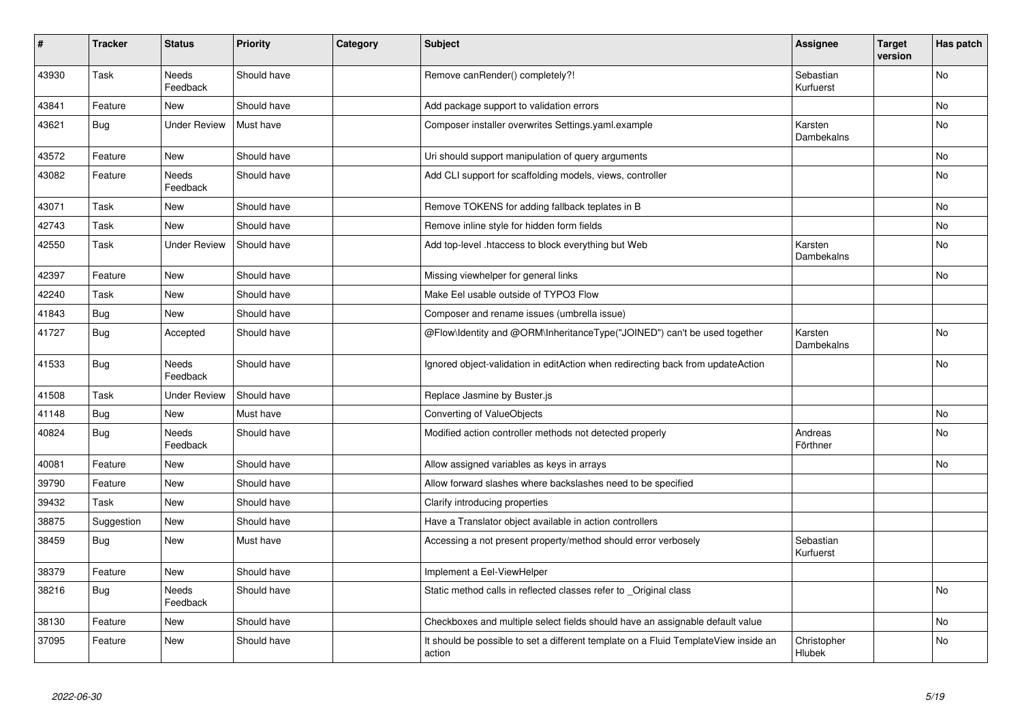| #     | <b>Tracker</b> | <b>Status</b>            | <b>Priority</b> | Category | <b>Subject</b>                                                                                | Assignee                     | <b>Target</b><br>version | Has patch |
|-------|----------------|--------------------------|-----------------|----------|-----------------------------------------------------------------------------------------------|------------------------------|--------------------------|-----------|
| 43930 | Task           | <b>Needs</b><br>Feedback | Should have     |          | Remove canRender() completely?!                                                               | Sebastian<br>Kurfuerst       |                          | <b>No</b> |
| 43841 | Feature        | <b>New</b>               | Should have     |          | Add package support to validation errors                                                      |                              |                          | No        |
| 43621 | <b>Bug</b>     | <b>Under Review</b>      | Must have       |          | Composer installer overwrites Settings.yaml.example                                           | Karsten<br>Dambekalns        |                          | <b>No</b> |
| 43572 | Feature        | New                      | Should have     |          | Uri should support manipulation of query arguments                                            |                              |                          | No        |
| 43082 | Feature        | Needs<br>Feedback        | Should have     |          | Add CLI support for scaffolding models, views, controller                                     |                              |                          | No        |
| 43071 | Task           | New                      | Should have     |          | Remove TOKENS for adding fallback teplates in B                                               |                              |                          | No        |
| 42743 | Task           | New                      | Should have     |          | Remove inline style for hidden form fields                                                    |                              |                          | No.       |
| 42550 | Task           | <b>Under Review</b>      | Should have     |          | Add top-level .htaccess to block everything but Web                                           | Karsten<br>Dambekalns        |                          | No        |
| 42397 | Feature        | New                      | Should have     |          | Missing viewhelper for general links                                                          |                              |                          | No        |
| 42240 | Task           | New                      | Should have     |          | Make Eel usable outside of TYPO3 Flow                                                         |                              |                          |           |
| 41843 | <b>Bug</b>     | New                      | Should have     |          | Composer and rename issues (umbrella issue)                                                   |                              |                          |           |
| 41727 | Bug            | Accepted                 | Should have     |          | @Flow\Identity and @ORM\InheritanceType("JOINED") can't be used together                      | Karsten<br>Dambekalns        |                          | No        |
| 41533 | Bug            | Needs<br>Feedback        | Should have     |          | Ignored object-validation in editAction when redirecting back from updateAction               |                              |                          | No        |
| 41508 | Task           | <b>Under Review</b>      | Should have     |          | Replace Jasmine by Buster.js                                                                  |                              |                          |           |
| 41148 | <b>Bug</b>     | New                      | Must have       |          | Converting of ValueObjects                                                                    |                              |                          | No        |
| 40824 | Bug            | Needs<br>Feedback        | Should have     |          | Modified action controller methods not detected properly                                      | Andreas<br>Förthner          |                          | No        |
| 40081 | Feature        | <b>New</b>               | Should have     |          | Allow assigned variables as keys in arrays                                                    |                              |                          | No        |
| 39790 | Feature        | <b>New</b>               | Should have     |          | Allow forward slashes where backslashes need to be specified                                  |                              |                          |           |
| 39432 | Task           | New                      | Should have     |          | Clarify introducing properties                                                                |                              |                          |           |
| 38875 | Suggestion     | New                      | Should have     |          | Have a Translator object available in action controllers                                      |                              |                          |           |
| 38459 | Bug            | New                      | Must have       |          | Accessing a not present property/method should error verbosely                                | Sebastian<br>Kurfuerst       |                          |           |
| 38379 | Feature        | <b>New</b>               | Should have     |          | Implement a Eel-ViewHelper                                                                    |                              |                          |           |
| 38216 | Bug            | Needs<br>Feedback        | Should have     |          | Static method calls in reflected classes refer to Original class                              |                              |                          | No        |
| 38130 | Feature        | <b>New</b>               | Should have     |          | Checkboxes and multiple select fields should have an assignable default value                 |                              |                          | No.       |
| 37095 | Feature        | New                      | Should have     |          | It should be possible to set a different template on a Fluid TemplateView inside an<br>action | Christopher<br><b>Hlubek</b> |                          | No        |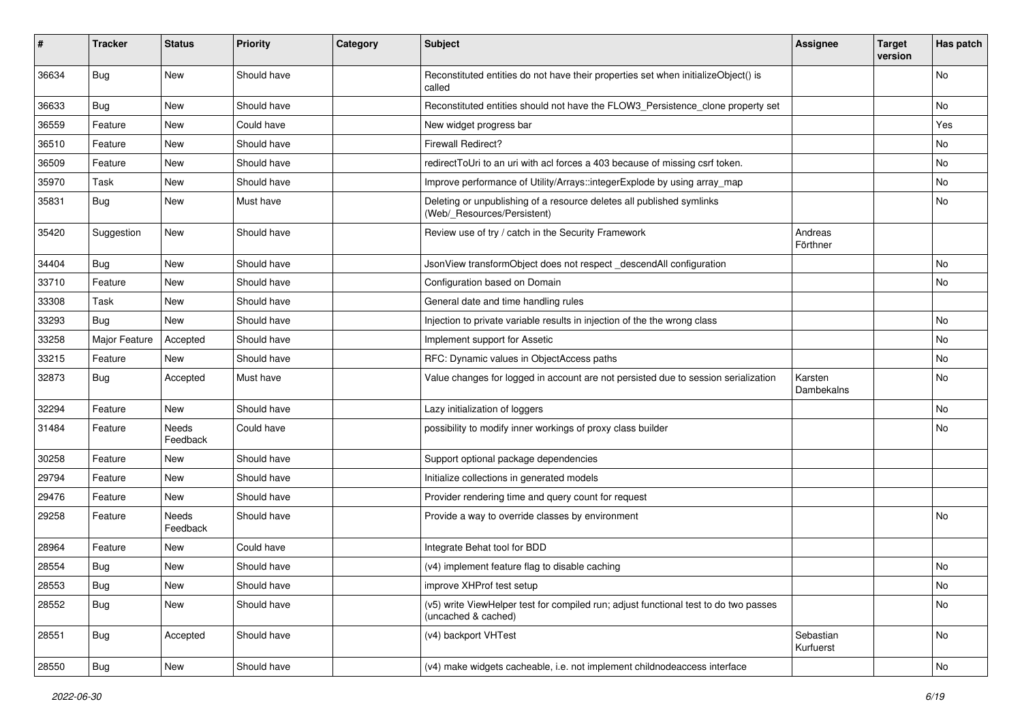| ∦     | <b>Tracker</b> | <b>Status</b>     | <b>Priority</b> | Category | <b>Subject</b>                                                                                              | <b>Assignee</b>        | <b>Target</b><br>version | Has patch |
|-------|----------------|-------------------|-----------------|----------|-------------------------------------------------------------------------------------------------------------|------------------------|--------------------------|-----------|
| 36634 | Bug            | New               | Should have     |          | Reconstituted entities do not have their properties set when initializeObject() is<br>called                |                        |                          | <b>No</b> |
| 36633 | Bug            | New               | Should have     |          | Reconstituted entities should not have the FLOW3_Persistence_clone property set                             |                        |                          | No        |
| 36559 | Feature        | New               | Could have      |          | New widget progress bar                                                                                     |                        |                          | Yes       |
| 36510 | Feature        | New               | Should have     |          | Firewall Redirect?                                                                                          |                        |                          | No        |
| 36509 | Feature        | New               | Should have     |          | redirectToUri to an uri with acl forces a 403 because of missing csrf token.                                |                        |                          | <b>No</b> |
| 35970 | Task           | New               | Should have     |          | Improve performance of Utility/Arrays::integerExplode by using array_map                                    |                        |                          | No        |
| 35831 | <b>Bug</b>     | New               | Must have       |          | Deleting or unpublishing of a resource deletes all published symlinks<br>(Web/_Resources/Persistent)        |                        |                          | <b>No</b> |
| 35420 | Suggestion     | New               | Should have     |          | Review use of try / catch in the Security Framework                                                         | Andreas<br>Förthner    |                          |           |
| 34404 | <b>Bug</b>     | <b>New</b>        | Should have     |          | JsonView transformObject does not respect_descendAll configuration                                          |                        |                          | <b>No</b> |
| 33710 | Feature        | New               | Should have     |          | Configuration based on Domain                                                                               |                        |                          | No        |
| 33308 | Task           | New               | Should have     |          | General date and time handling rules                                                                        |                        |                          |           |
| 33293 | Bug            | New               | Should have     |          | Injection to private variable results in injection of the the wrong class                                   |                        |                          | No        |
| 33258 | Major Feature  | Accepted          | Should have     |          | Implement support for Assetic                                                                               |                        |                          | No        |
| 33215 | Feature        | New               | Should have     |          | RFC: Dynamic values in ObjectAccess paths                                                                   |                        |                          | No        |
| 32873 | <b>Bug</b>     | Accepted          | Must have       |          | Value changes for logged in account are not persisted due to session serialization                          | Karsten<br>Dambekalns  |                          | <b>No</b> |
| 32294 | Feature        | New               | Should have     |          | Lazy initialization of loggers                                                                              |                        |                          | No        |
| 31484 | Feature        | Needs<br>Feedback | Could have      |          | possibility to modify inner workings of proxy class builder                                                 |                        |                          | No        |
| 30258 | Feature        | New               | Should have     |          | Support optional package dependencies                                                                       |                        |                          |           |
| 29794 | Feature        | New               | Should have     |          | Initialize collections in generated models                                                                  |                        |                          |           |
| 29476 | Feature        | New               | Should have     |          | Provider rendering time and query count for request                                                         |                        |                          |           |
| 29258 | Feature        | Needs<br>Feedback | Should have     |          | Provide a way to override classes by environment                                                            |                        |                          | <b>No</b> |
| 28964 | Feature        | New               | Could have      |          | Integrate Behat tool for BDD                                                                                |                        |                          |           |
| 28554 | <b>Bug</b>     | New               | Should have     |          | (v4) implement feature flag to disable caching                                                              |                        |                          | No        |
| 28553 | Bug            | New               | Should have     |          | improve XHProf test setup                                                                                   |                        |                          | No        |
| 28552 | <b>Bug</b>     | New               | Should have     |          | (v5) write ViewHelper test for compiled run; adjust functional test to do two passes<br>(uncached & cached) |                        |                          | No        |
| 28551 | <b>Bug</b>     | Accepted          | Should have     |          | (v4) backport VHTest                                                                                        | Sebastian<br>Kurfuerst |                          | No        |
| 28550 | Bug            | New               | Should have     |          | (v4) make widgets cacheable, i.e. not implement childnodeaccess interface                                   |                        |                          | No        |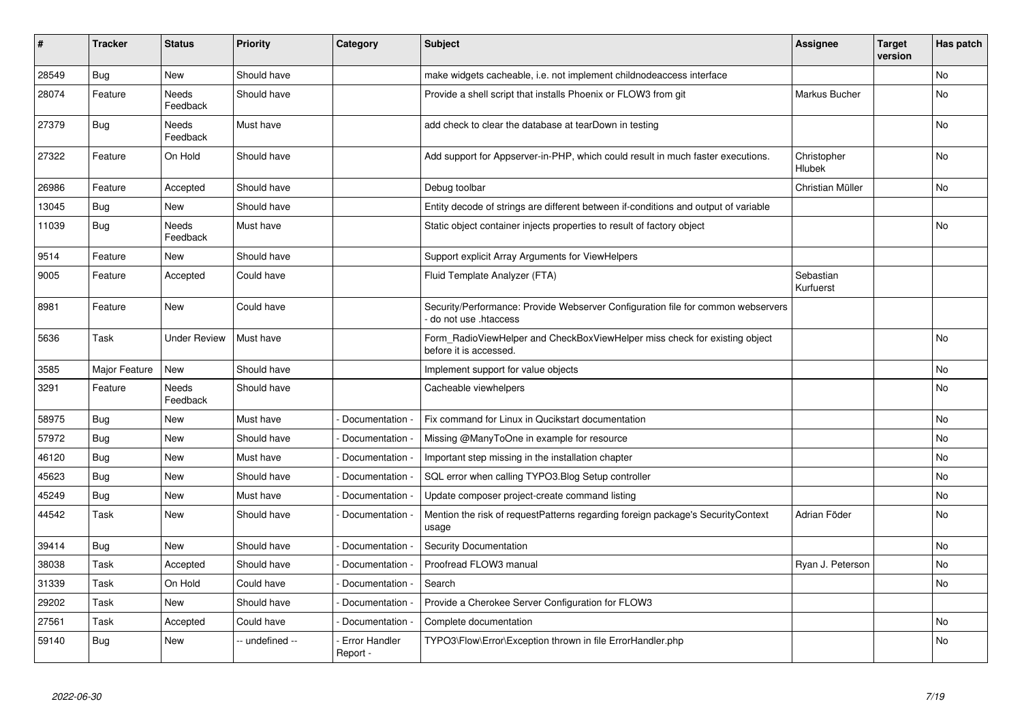| #     | <b>Tracker</b> | <b>Status</b>     | <b>Priority</b> | Category                         | <b>Subject</b>                                                                                           | <b>Assignee</b>        | <b>Target</b><br>version | Has patch      |
|-------|----------------|-------------------|-----------------|----------------------------------|----------------------------------------------------------------------------------------------------------|------------------------|--------------------------|----------------|
| 28549 | Bug            | New               | Should have     |                                  | make widgets cacheable, i.e. not implement childnodeaccess interface                                     |                        |                          | N <sub>o</sub> |
| 28074 | Feature        | Needs<br>Feedback | Should have     |                                  | Provide a shell script that installs Phoenix or FLOW3 from git                                           | Markus Bucher          |                          | No             |
| 27379 | Bug            | Needs<br>Feedback | Must have       |                                  | add check to clear the database at tearDown in testing                                                   |                        |                          | <b>No</b>      |
| 27322 | Feature        | On Hold           | Should have     |                                  | Add support for Appserver-in-PHP, which could result in much faster executions.                          | Christopher<br>Hlubek  |                          | No             |
| 26986 | Feature        | Accepted          | Should have     |                                  | Debug toolbar                                                                                            | Christian Müller       |                          | No             |
| 13045 | Bug            | New               | Should have     |                                  | Entity decode of strings are different between if-conditions and output of variable                      |                        |                          |                |
| 11039 | Bug            | Needs<br>Feedback | Must have       |                                  | Static object container injects properties to result of factory object                                   |                        |                          | No             |
| 9514  | Feature        | New               | Should have     |                                  | Support explicit Array Arguments for ViewHelpers                                                         |                        |                          |                |
| 9005  | Feature        | Accepted          | Could have      |                                  | Fluid Template Analyzer (FTA)                                                                            | Sebastian<br>Kurfuerst |                          |                |
| 8981  | Feature        | New               | Could have      |                                  | Security/Performance: Provide Webserver Configuration file for common webservers<br>do not use .htaccess |                        |                          |                |
| 5636  | Task           | Under Review      | Must have       |                                  | Form RadioViewHelper and CheckBoxViewHelper miss check for existing object<br>before it is accessed.     |                        |                          | No             |
| 3585  | Major Feature  | New               | Should have     |                                  | Implement support for value objects                                                                      |                        |                          | No             |
| 3291  | Feature        | Needs<br>Feedback | Should have     |                                  | Cacheable viewhelpers                                                                                    |                        |                          | No             |
| 58975 | Bug            | New               | Must have       | Documentation -                  | Fix command for Linux in Qucikstart documentation                                                        |                        |                          | No             |
| 57972 | <b>Bug</b>     | New               | Should have     | Documentation                    | Missing @ManyToOne in example for resource                                                               |                        |                          | No             |
| 46120 | Bug            | New               | Must have       | Documentation                    | Important step missing in the installation chapter                                                       |                        |                          | No             |
| 45623 | Bug            | New               | Should have     | Documentation                    | SQL error when calling TYPO3.Blog Setup controller                                                       |                        |                          | No             |
| 45249 | <b>Bug</b>     | New               | Must have       | Documentation                    | Update composer project-create command listing                                                           |                        |                          | No             |
| 44542 | Task           | New               | Should have     | Documentation                    | Mention the risk of requestPatterns regarding foreign package's SecurityContext<br>usage                 | Adrian Föder           |                          | No             |
| 39414 | Bug            | New               | Should have     | Documentation                    | <b>Security Documentation</b>                                                                            |                        |                          | No             |
| 38038 | Task           | Accepted          | Should have     | Documentation                    | Proofread FLOW3 manual                                                                                   | Ryan J. Peterson       |                          | No             |
| 31339 | Task           | On Hold           | Could have      | Documentation                    | Search                                                                                                   |                        |                          | No             |
| 29202 | Task           | New               | Should have     | Documentation                    | Provide a Cherokee Server Configuration for FLOW3                                                        |                        |                          |                |
| 27561 | Task           | Accepted          | Could have      | Documentation                    | Complete documentation                                                                                   |                        |                          | No             |
| 59140 | Bug            | New               | -- undefined -- | <b>Error Handler</b><br>Report - | TYPO3\Flow\Error\Exception thrown in file ErrorHandler.php                                               |                        |                          | No             |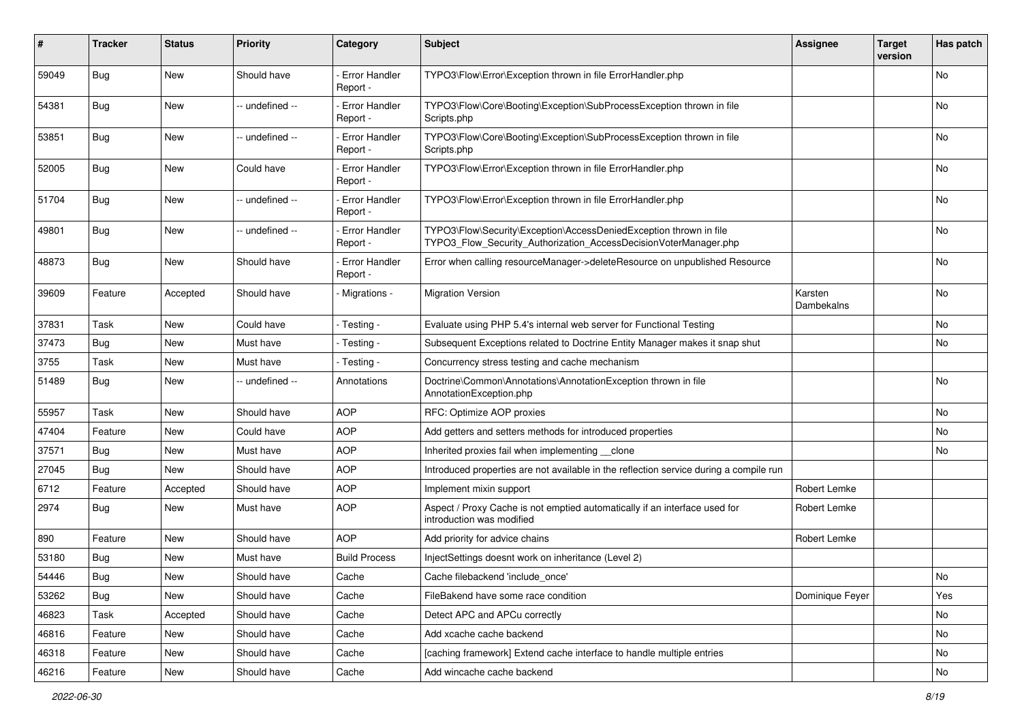| #     | <b>Tracker</b> | <b>Status</b> | <b>Priority</b> | Category                         | <b>Subject</b>                                                                                                                         | <b>Assignee</b>       | <b>Target</b><br>version | Has patch |
|-------|----------------|---------------|-----------------|----------------------------------|----------------------------------------------------------------------------------------------------------------------------------------|-----------------------|--------------------------|-----------|
| 59049 | Bug            | <b>New</b>    | Should have     | <b>Error Handler</b><br>Report - | TYPO3\Flow\Error\Exception thrown in file ErrorHandler.php                                                                             |                       |                          | No        |
| 54381 | Bug            | New           | -- undefined -- | <b>Error Handler</b><br>Report - | TYPO3\Flow\Core\Booting\Exception\SubProcessException thrown in file<br>Scripts.php                                                    |                       |                          | No        |
| 53851 | Bug            | New           | -- undefined -- | <b>Error Handler</b><br>Report - | TYPO3\Flow\Core\Booting\Exception\SubProcessException thrown in file<br>Scripts.php                                                    |                       |                          | No        |
| 52005 | Bug            | New           | Could have      | <b>Error Handler</b><br>Report - | TYPO3\Flow\Error\Exception thrown in file ErrorHandler.php                                                                             |                       |                          | No        |
| 51704 | Bug            | New           | -- undefined -- | <b>Error Handler</b><br>Report - | TYPO3\Flow\Error\Exception thrown in file ErrorHandler.php                                                                             |                       |                          | No        |
| 49801 | Bug            | New           | -- undefined -- | <b>Error Handler</b><br>Report - | TYPO3\Flow\Security\Exception\AccessDeniedException thrown in file<br>TYPO3_Flow_Security_Authorization_AccessDecisionVoterManager.php |                       |                          | No        |
| 48873 | Bug            | New           | Should have     | <b>Error Handler</b><br>Report - | Error when calling resourceManager->deleteResource on unpublished Resource                                                             |                       |                          | No        |
| 39609 | Feature        | Accepted      | Should have     | - Migrations -                   | <b>Migration Version</b>                                                                                                               | Karsten<br>Dambekalns |                          | No        |
| 37831 | Task           | New           | Could have      | - Testing -                      | Evaluate using PHP 5.4's internal web server for Functional Testing                                                                    |                       |                          | No        |
| 37473 | Bug            | New           | Must have       | - Testing -                      | Subsequent Exceptions related to Doctrine Entity Manager makes it snap shut                                                            |                       |                          | No        |
| 3755  | Task           | New           | Must have       | - Testing -                      | Concurrency stress testing and cache mechanism                                                                                         |                       |                          |           |
| 51489 | Bug            | New           | -- undefined -- | Annotations                      | Doctrine\Common\Annotations\AnnotationException thrown in file<br>AnnotationException.php                                              |                       |                          | No        |
| 55957 | Task           | New           | Should have     | <b>AOP</b>                       | RFC: Optimize AOP proxies                                                                                                              |                       |                          | No        |
| 47404 | Feature        | New           | Could have      | <b>AOP</b>                       | Add getters and setters methods for introduced properties                                                                              |                       |                          | No        |
| 37571 | Bug            | New           | Must have       | <b>AOP</b>                       | Inherited proxies fail when implementing clone                                                                                         |                       |                          | No        |
| 27045 | Bug            | New           | Should have     | <b>AOP</b>                       | Introduced properties are not available in the reflection service during a compile run                                                 |                       |                          |           |
| 6712  | Feature        | Accepted      | Should have     | <b>AOP</b>                       | Implement mixin support                                                                                                                | Robert Lemke          |                          |           |
| 2974  | Bug            | New           | Must have       | <b>AOP</b>                       | Aspect / Proxy Cache is not emptied automatically if an interface used for<br>introduction was modified                                | Robert Lemke          |                          |           |
| 890   | Feature        | New           | Should have     | <b>AOP</b>                       | Add priority for advice chains                                                                                                         | Robert Lemke          |                          |           |
| 53180 | Bug            | New           | Must have       | <b>Build Process</b>             | InjectSettings doesnt work on inheritance (Level 2)                                                                                    |                       |                          |           |
| 54446 | <b>Bug</b>     | New           | Should have     | Cache                            | Cache filebackend 'include_once'                                                                                                       |                       |                          | No        |
| 53262 | <b>Bug</b>     | New           | Should have     | Cache                            | FileBakend have some race condition                                                                                                    | Dominique Feyer       |                          | Yes       |
| 46823 | Task           | Accepted      | Should have     | Cache                            | Detect APC and APCu correctly                                                                                                          |                       |                          | No        |
| 46816 | Feature        | New           | Should have     | Cache                            | Add xcache cache backend                                                                                                               |                       |                          | No        |
| 46318 | Feature        | New           | Should have     | Cache                            | [caching framework] Extend cache interface to handle multiple entries                                                                  |                       |                          | No        |
| 46216 | Feature        | New           | Should have     | Cache                            | Add wincache cache backend                                                                                                             |                       |                          | No        |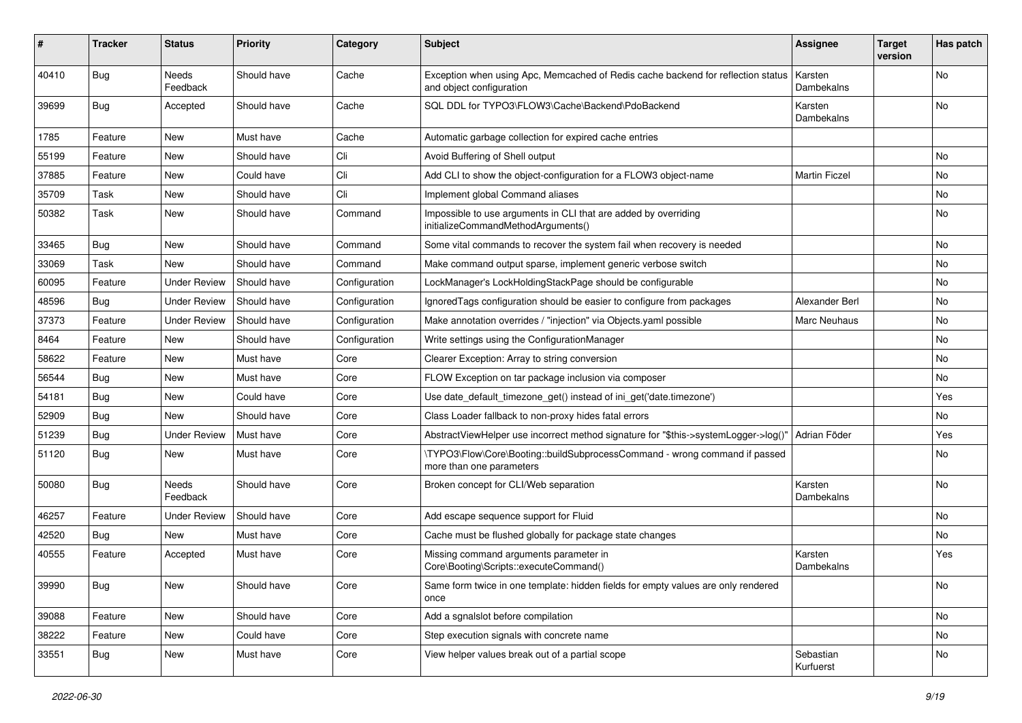| #     | <b>Tracker</b> | <b>Status</b>            | <b>Priority</b> | Category      | <b>Subject</b>                                                                                               | <b>Assignee</b>        | <b>Target</b><br>version | Has patch |
|-------|----------------|--------------------------|-----------------|---------------|--------------------------------------------------------------------------------------------------------------|------------------------|--------------------------|-----------|
| 40410 | Bug            | Needs<br>Feedback        | Should have     | Cache         | Exception when using Apc, Memcached of Redis cache backend for reflection status<br>and object configuration | Karsten<br>Dambekalns  |                          | No        |
| 39699 | Bug            | Accepted                 | Should have     | Cache         | SQL DDL for TYPO3\FLOW3\Cache\Backend\PdoBackend                                                             | Karsten<br>Dambekalns  |                          | No        |
| 1785  | Feature        | New                      | Must have       | Cache         | Automatic garbage collection for expired cache entries                                                       |                        |                          |           |
| 55199 | Feature        | New                      | Should have     | Cli           | Avoid Buffering of Shell output                                                                              |                        |                          | No.       |
| 37885 | Feature        | New                      | Could have      | Cli           | Add CLI to show the object-configuration for a FLOW3 object-name                                             | <b>Martin Ficzel</b>   |                          | No        |
| 35709 | Task           | New                      | Should have     | Cli           | Implement global Command aliases                                                                             |                        |                          | No        |
| 50382 | Task           | New                      | Should have     | Command       | Impossible to use arguments in CLI that are added by overriding<br>initializeCommandMethodArguments()        |                        |                          | No        |
| 33465 | Bug            | New                      | Should have     | Command       | Some vital commands to recover the system fail when recovery is needed                                       |                        |                          | No.       |
| 33069 | Task           | New                      | Should have     | Command       | Make command output sparse, implement generic verbose switch                                                 |                        |                          | No        |
| 60095 | Feature        | <b>Under Review</b>      | Should have     | Configuration | LockManager's LockHoldingStackPage should be configurable                                                    |                        |                          | No        |
| 48596 | Bug            | <b>Under Review</b>      | Should have     | Configuration | Ignored Tags configuration should be easier to configure from packages                                       | Alexander Berl         |                          | No        |
| 37373 | Feature        | <b>Under Review</b>      | Should have     | Configuration | Make annotation overrides / "injection" via Objects.yaml possible                                            | Marc Neuhaus           |                          | No        |
| 8464  | Feature        | New                      | Should have     | Configuration | Write settings using the ConfigurationManager                                                                |                        |                          | No        |
| 58622 | Feature        | New                      | Must have       | Core          | Clearer Exception: Array to string conversion                                                                |                        |                          | No        |
| 56544 | Bug            | New                      | Must have       | Core          | FLOW Exception on tar package inclusion via composer                                                         |                        |                          | No        |
| 54181 | Bug            | New                      | Could have      | Core          | Use date_default_timezone_get() instead of ini_get('date.timezone')                                          |                        |                          | Yes       |
| 52909 | Bug            | New                      | Should have     | Core          | Class Loader fallback to non-proxy hides fatal errors                                                        |                        |                          | No        |
| 51239 | Bug            | <b>Under Review</b>      | Must have       | Core          | AbstractViewHelper use incorrect method signature for "\$this->systemLogger->log()"                          | Adrian Föder           |                          | Yes       |
| 51120 | Bug            | New                      | Must have       | Core          | \TYPO3\Flow\Core\Booting::buildSubprocessCommand - wrong command if passed<br>more than one parameters       |                        |                          | No.       |
| 50080 | Bug            | <b>Needs</b><br>Feedback | Should have     | Core          | Broken concept for CLI/Web separation                                                                        | Karsten<br>Dambekalns  |                          | No        |
| 46257 | Feature        | Under Review             | Should have     | Core          | Add escape sequence support for Fluid                                                                        |                        |                          | No        |
| 42520 | Bug            | New                      | Must have       | Core          | Cache must be flushed globally for package state changes                                                     |                        |                          | No        |
| 40555 | Feature        | Accepted                 | Must have       | Core          | Missing command arguments parameter in<br>Core\Booting\Scripts::executeCommand()                             | Karsten<br>Dambekalns  |                          | Yes       |
| 39990 | <b>Bug</b>     | New                      | Should have     | Core          | Same form twice in one template: hidden fields for empty values are only rendered<br>once                    |                        |                          | No        |
| 39088 | Feature        | New                      | Should have     | Core          | Add a sgnalslot before compilation                                                                           |                        |                          | No        |
| 38222 | Feature        | New                      | Could have      | Core          | Step execution signals with concrete name                                                                    |                        |                          | No        |
| 33551 | <b>Bug</b>     | New                      | Must have       | Core          | View helper values break out of a partial scope                                                              | Sebastian<br>Kurfuerst |                          | No        |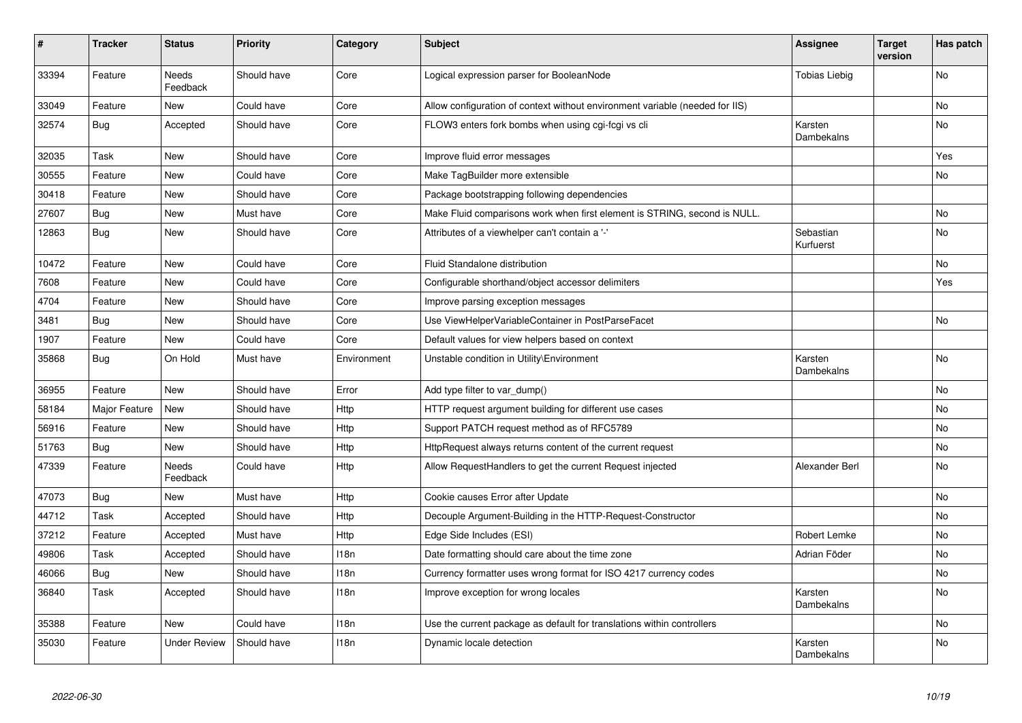| $\vert$ # | <b>Tracker</b> | <b>Status</b>            | <b>Priority</b> | Category    | <b>Subject</b>                                                               | <b>Assignee</b>        | <b>Target</b><br>version | Has patch      |
|-----------|----------------|--------------------------|-----------------|-------------|------------------------------------------------------------------------------|------------------------|--------------------------|----------------|
| 33394     | Feature        | <b>Needs</b><br>Feedback | Should have     | Core        | Logical expression parser for BooleanNode                                    | <b>Tobias Liebig</b>   |                          | N <sub>o</sub> |
| 33049     | Feature        | New                      | Could have      | Core        | Allow configuration of context without environment variable (needed for IIS) |                        |                          | No             |
| 32574     | <b>Bug</b>     | Accepted                 | Should have     | Core        | FLOW3 enters fork bombs when using cgi-fcgi vs cli                           | Karsten<br>Dambekalns  |                          | N <sub>o</sub> |
| 32035     | Task           | New                      | Should have     | Core        | Improve fluid error messages                                                 |                        |                          | Yes            |
| 30555     | Feature        | <b>New</b>               | Could have      | Core        | Make TagBuilder more extensible                                              |                        |                          | No.            |
| 30418     | Feature        | New                      | Should have     | Core        | Package bootstrapping following dependencies                                 |                        |                          |                |
| 27607     | <b>Bug</b>     | New                      | Must have       | Core        | Make Fluid comparisons work when first element is STRING, second is NULL.    |                        |                          | No             |
| 12863     | <b>Bug</b>     | <b>New</b>               | Should have     | Core        | Attributes of a viewhelper can't contain a '-'                               | Sebastian<br>Kurfuerst |                          | N <sub>o</sub> |
| 10472     | Feature        | New                      | Could have      | Core        | Fluid Standalone distribution                                                |                        |                          | No             |
| 7608      | Feature        | <b>New</b>               | Could have      | Core        | Configurable shorthand/object accessor delimiters                            |                        |                          | Yes            |
| 4704      | Feature        | <b>New</b>               | Should have     | Core        | Improve parsing exception messages                                           |                        |                          |                |
| 3481      | <b>Bug</b>     | New                      | Should have     | Core        | Use ViewHelperVariableContainer in PostParseFacet                            |                        |                          | No             |
| 1907      | Feature        | <b>New</b>               | Could have      | Core        | Default values for view helpers based on context                             |                        |                          |                |
| 35868     | Bug            | On Hold                  | Must have       | Environment | Unstable condition in Utility\Environment                                    | Karsten<br>Dambekalns  |                          | N <sub>o</sub> |
| 36955     | Feature        | New                      | Should have     | Error       | Add type filter to var_dump()                                                |                        |                          | No             |
| 58184     | Major Feature  | New                      | Should have     | Http        | HTTP request argument building for different use cases                       |                        |                          | No             |
| 56916     | Feature        | New                      | Should have     | Http        | Support PATCH request method as of RFC5789                                   |                        |                          | No             |
| 51763     | <b>Bug</b>     | New                      | Should have     | Http        | HttpRequest always returns content of the current request                    |                        |                          | No             |
| 47339     | Feature        | Needs<br>Feedback        | Could have      | <b>Http</b> | Allow RequestHandlers to get the current Request injected                    | Alexander Berl         |                          | No.            |
| 47073     | <b>Bug</b>     | New                      | Must have       | Http        | Cookie causes Error after Update                                             |                        |                          | No             |
| 44712     | Task           | Accepted                 | Should have     | Http        | Decouple Argument-Building in the HTTP-Request-Constructor                   |                        |                          | No             |
| 37212     | Feature        | Accepted                 | Must have       | Http        | Edge Side Includes (ESI)                                                     | Robert Lemke           |                          | No             |
| 49806     | Task           | Accepted                 | Should have     | 118n        | Date formatting should care about the time zone                              | Adrian Föder           |                          | No             |
| 46066     | <b>Bug</b>     | New                      | Should have     | 118n        | Currency formatter uses wrong format for ISO 4217 currency codes             |                        |                          | No             |
| 36840     | Task           | Accepted                 | Should have     | 118n        | Improve exception for wrong locales                                          | Karsten<br>Dambekalns  |                          | No             |
| 35388     | Feature        | New                      | Could have      | 118n        | Use the current package as default for translations within controllers       |                        |                          | No.            |
| 35030     | Feature        | Under Review             | Should have     | 118n        | Dynamic locale detection                                                     | Karsten<br>Dambekalns  |                          | No             |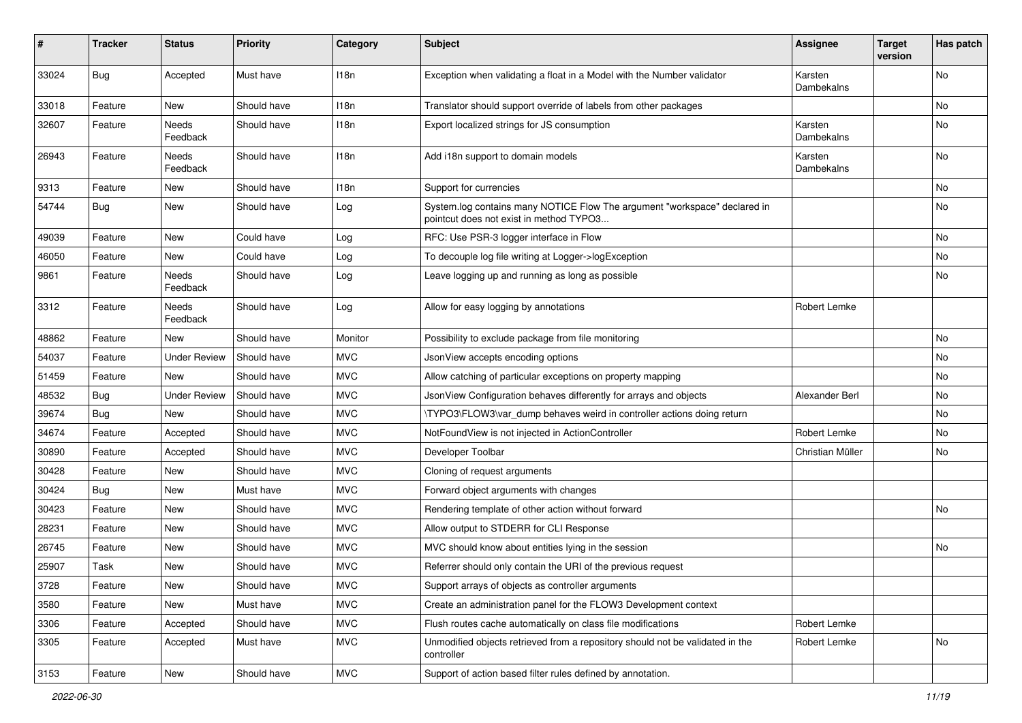| #     | <b>Tracker</b> | <b>Status</b>       | <b>Priority</b> | Category         | <b>Subject</b>                                                                                                       | <b>Assignee</b>       | <b>Target</b><br>version | Has patch |
|-------|----------------|---------------------|-----------------|------------------|----------------------------------------------------------------------------------------------------------------------|-----------------------|--------------------------|-----------|
| 33024 | Bug            | Accepted            | Must have       | 118n             | Exception when validating a float in a Model with the Number validator                                               | Karsten<br>Dambekalns |                          | No        |
| 33018 | Feature        | New                 | Should have     | 118 <sub>n</sub> | Translator should support override of labels from other packages                                                     |                       |                          | No        |
| 32607 | Feature        | Needs<br>Feedback   | Should have     | 118n             | Export localized strings for JS consumption                                                                          | Karsten<br>Dambekalns |                          | No        |
| 26943 | Feature        | Needs<br>Feedback   | Should have     | 118n             | Add i18n support to domain models                                                                                    | Karsten<br>Dambekalns |                          | No        |
| 9313  | Feature        | New                 | Should have     | 118n             | Support for currencies                                                                                               |                       |                          | No        |
| 54744 | <b>Bug</b>     | New                 | Should have     | Log              | System.log contains many NOTICE Flow The argument "workspace" declared in<br>pointcut does not exist in method TYPO3 |                       |                          | No        |
| 49039 | Feature        | New                 | Could have      | Log              | RFC: Use PSR-3 logger interface in Flow                                                                              |                       |                          | No        |
| 46050 | Feature        | New                 | Could have      | Log              | To decouple log file writing at Logger->logException                                                                 |                       |                          | No        |
| 9861  | Feature        | Needs<br>Feedback   | Should have     | Log              | Leave logging up and running as long as possible                                                                     |                       |                          | No        |
| 3312  | Feature        | Needs<br>Feedback   | Should have     | Log              | Allow for easy logging by annotations                                                                                | Robert Lemke          |                          |           |
| 48862 | Feature        | New                 | Should have     | Monitor          | Possibility to exclude package from file monitoring                                                                  |                       |                          | <b>No</b> |
| 54037 | Feature        | <b>Under Review</b> | Should have     | <b>MVC</b>       | JsonView accepts encoding options                                                                                    |                       |                          | No        |
| 51459 | Feature        | New                 | Should have     | <b>MVC</b>       | Allow catching of particular exceptions on property mapping                                                          |                       |                          | No        |
| 48532 | Bug            | <b>Under Review</b> | Should have     | <b>MVC</b>       | JsonView Configuration behaves differently for arrays and objects                                                    | Alexander Berl        |                          | No        |
| 39674 | <b>Bug</b>     | New                 | Should have     | <b>MVC</b>       | \TYPO3\FLOW3\var dump behaves weird in controller actions doing return                                               |                       |                          | No        |
| 34674 | Feature        | Accepted            | Should have     | <b>MVC</b>       | NotFoundView is not injected in ActionController                                                                     | Robert Lemke          |                          | No        |
| 30890 | Feature        | Accepted            | Should have     | <b>MVC</b>       | Developer Toolbar                                                                                                    | Christian Müller      |                          | No        |
| 30428 | Feature        | New                 | Should have     | <b>MVC</b>       | Cloning of request arguments                                                                                         |                       |                          |           |
| 30424 | Bug            | New                 | Must have       | <b>MVC</b>       | Forward object arguments with changes                                                                                |                       |                          |           |
| 30423 | Feature        | New                 | Should have     | <b>MVC</b>       | Rendering template of other action without forward                                                                   |                       |                          | No        |
| 28231 | Feature        | New                 | Should have     | <b>MVC</b>       | Allow output to STDERR for CLI Response                                                                              |                       |                          |           |
| 26745 | Feature        | New                 | Should have     | <b>MVC</b>       | MVC should know about entities lying in the session                                                                  |                       |                          | No        |
| 25907 | Task           | New                 | Should have     | <b>MVC</b>       | Referrer should only contain the URI of the previous request                                                         |                       |                          |           |
| 3728  | Feature        | New                 | Should have     | <b>MVC</b>       | Support arrays of objects as controller arguments                                                                    |                       |                          |           |
| 3580  | Feature        | New                 | Must have       | <b>MVC</b>       | Create an administration panel for the FLOW3 Development context                                                     |                       |                          |           |
| 3306  | Feature        | Accepted            | Should have     | <b>MVC</b>       | Flush routes cache automatically on class file modifications                                                         | Robert Lemke          |                          |           |
| 3305  | Feature        | Accepted            | Must have       | <b>MVC</b>       | Unmodified objects retrieved from a repository should not be validated in the<br>controller                          | Robert Lemke          |                          | No        |
| 3153  | Feature        | New                 | Should have     | <b>MVC</b>       | Support of action based filter rules defined by annotation.                                                          |                       |                          |           |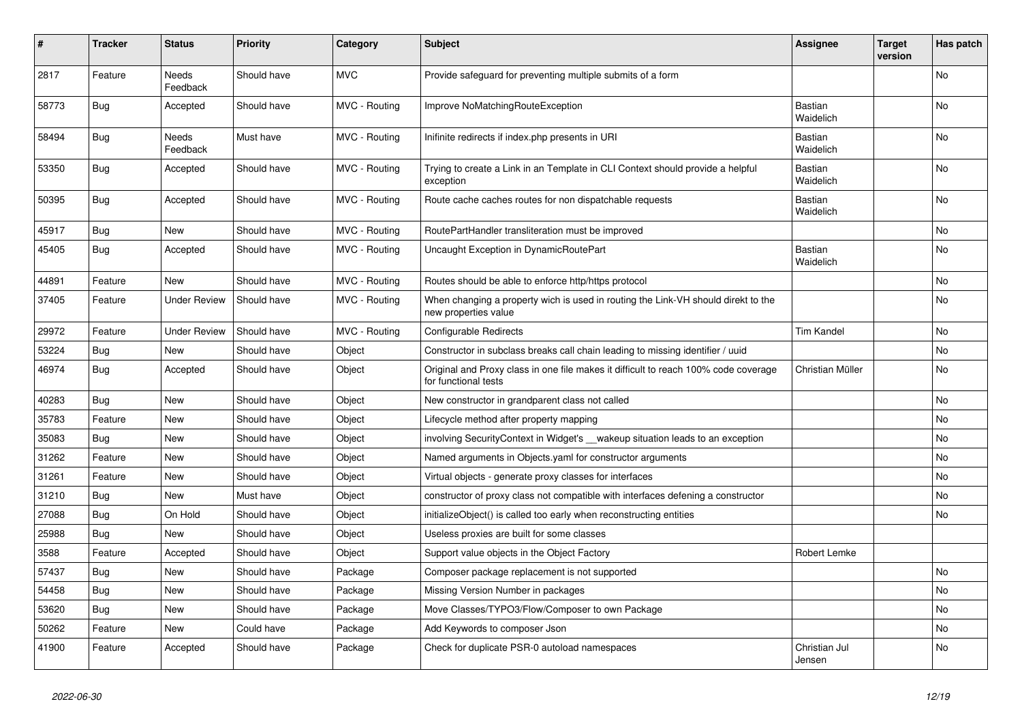| ∦     | <b>Tracker</b> | <b>Status</b>            | <b>Priority</b> | Category      | <b>Subject</b>                                                                                              | <b>Assignee</b>         | <b>Target</b><br>version | Has patch      |
|-------|----------------|--------------------------|-----------------|---------------|-------------------------------------------------------------------------------------------------------------|-------------------------|--------------------------|----------------|
| 2817  | Feature        | <b>Needs</b><br>Feedback | Should have     | <b>MVC</b>    | Provide safeguard for preventing multiple submits of a form                                                 |                         |                          | N <sub>o</sub> |
| 58773 | <b>Bug</b>     | Accepted                 | Should have     | MVC - Routing | Improve NoMatchingRouteException                                                                            | Bastian<br>Waidelich    |                          | No             |
| 58494 | Bug            | Needs<br>Feedback        | Must have       | MVC - Routing | Inifinite redirects if index.php presents in URI                                                            | Bastian<br>Waidelich    |                          | No             |
| 53350 | Bug            | Accepted                 | Should have     | MVC - Routing | Trying to create a Link in an Template in CLI Context should provide a helpful<br>exception                 | Bastian<br>Waidelich    |                          | No             |
| 50395 | <b>Bug</b>     | Accepted                 | Should have     | MVC - Routing | Route cache caches routes for non dispatchable requests                                                     | Bastian<br>Waidelich    |                          | No             |
| 45917 | <b>Bug</b>     | New                      | Should have     | MVC - Routing | RoutePartHandler transliteration must be improved                                                           |                         |                          | No             |
| 45405 | <b>Bug</b>     | Accepted                 | Should have     | MVC - Routing | Uncaught Exception in DynamicRoutePart                                                                      | Bastian<br>Waidelich    |                          | No             |
| 44891 | Feature        | New                      | Should have     | MVC - Routing | Routes should be able to enforce http/https protocol                                                        |                         |                          | No             |
| 37405 | Feature        | <b>Under Review</b>      | Should have     | MVC - Routing | When changing a property wich is used in routing the Link-VH should direkt to the<br>new properties value   |                         |                          | No             |
| 29972 | Feature        | <b>Under Review</b>      | Should have     | MVC - Routing | Configurable Redirects                                                                                      | <b>Tim Kandel</b>       |                          | No             |
| 53224 | <b>Bug</b>     | New                      | Should have     | Object        | Constructor in subclass breaks call chain leading to missing identifier / uuid                              |                         |                          | No.            |
| 46974 | <b>Bug</b>     | Accepted                 | Should have     | Object        | Original and Proxy class in one file makes it difficult to reach 100% code coverage<br>for functional tests | Christian Müller        |                          | No.            |
| 40283 | Bug            | New                      | Should have     | Object        | New constructor in grandparent class not called                                                             |                         |                          | No             |
| 35783 | Feature        | New                      | Should have     | Object        | Lifecycle method after property mapping                                                                     |                         |                          | No             |
| 35083 | <b>Bug</b>     | New                      | Should have     | Object        | involving SecurityContext in Widget's vakeup situation leads to an exception                                |                         |                          | No             |
| 31262 | Feature        | New                      | Should have     | Object        | Named arguments in Objects yaml for constructor arguments                                                   |                         |                          | No             |
| 31261 | Feature        | New                      | Should have     | Object        | Virtual objects - generate proxy classes for interfaces                                                     |                         |                          | No             |
| 31210 | <b>Bug</b>     | New                      | Must have       | Object        | constructor of proxy class not compatible with interfaces defening a constructor                            |                         |                          | No             |
| 27088 | <b>Bug</b>     | On Hold                  | Should have     | Object        | initializeObject() is called too early when reconstructing entities                                         |                         |                          | No             |
| 25988 | <b>Bug</b>     | New                      | Should have     | Object        | Useless proxies are built for some classes                                                                  |                         |                          |                |
| 3588  | Feature        | Accepted                 | Should have     | Object        | Support value objects in the Object Factory                                                                 | Robert Lemke            |                          |                |
| 57437 | <b>Bug</b>     | New                      | Should have     | Package       | Composer package replacement is not supported                                                               |                         |                          | No             |
| 54458 | <b>Bug</b>     | New                      | Should have     | Package       | Missing Version Number in packages                                                                          |                         |                          | No             |
| 53620 | <b>Bug</b>     | New                      | Should have     | Package       | Move Classes/TYPO3/Flow/Composer to own Package                                                             |                         |                          | No             |
| 50262 | Feature        | New                      | Could have      | Package       | Add Keywords to composer Json                                                                               |                         |                          | No             |
| 41900 | Feature        | Accepted                 | Should have     | Package       | Check for duplicate PSR-0 autoload namespaces                                                               | Christian Jul<br>Jensen |                          | No             |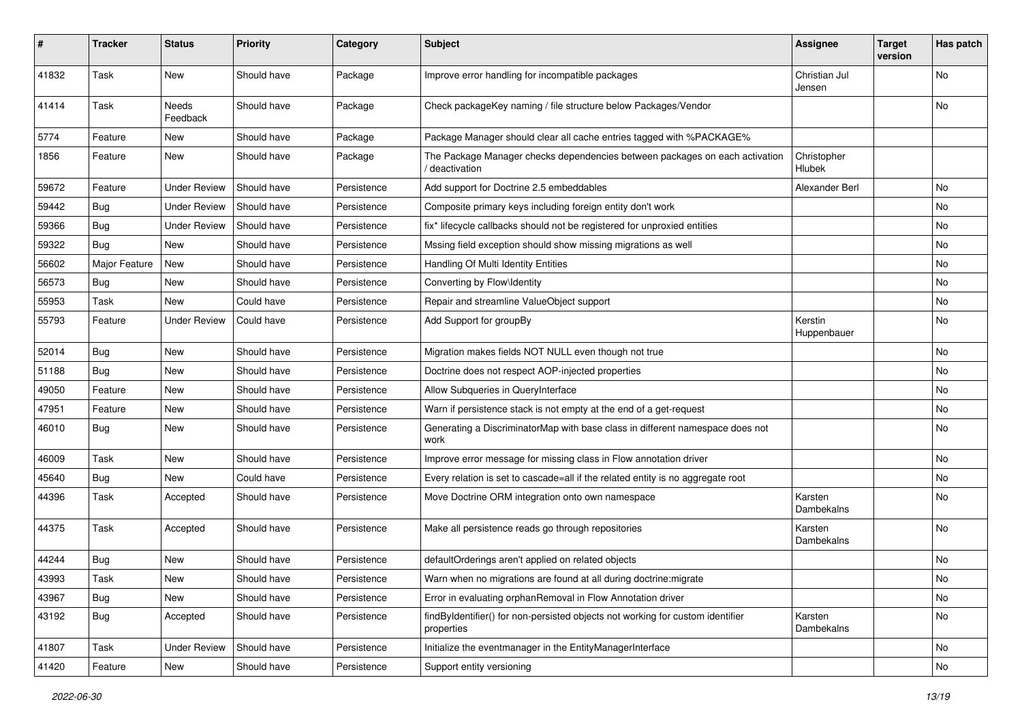| #     | <b>Tracker</b> | <b>Status</b>       | <b>Priority</b> | Category    | Subject                                                                                      | <b>Assignee</b>         | <b>Target</b><br>version | Has patch |
|-------|----------------|---------------------|-----------------|-------------|----------------------------------------------------------------------------------------------|-------------------------|--------------------------|-----------|
| 41832 | Task           | New                 | Should have     | Package     | Improve error handling for incompatible packages                                             | Christian Jul<br>Jensen |                          | No        |
| 41414 | Task           | Needs<br>Feedback   | Should have     | Package     | Check packageKey naming / file structure below Packages/Vendor                               |                         |                          | No        |
| 5774  | Feature        | New                 | Should have     | Package     | Package Manager should clear all cache entries tagged with %PACKAGE%                         |                         |                          |           |
| 1856  | Feature        | New                 | Should have     | Package     | The Package Manager checks dependencies between packages on each activation<br>deactivation  | Christopher<br>Hlubek   |                          |           |
| 59672 | Feature        | <b>Under Review</b> | Should have     | Persistence | Add support for Doctrine 2.5 embeddables                                                     | Alexander Berl          |                          | No        |
| 59442 | <b>Bug</b>     | <b>Under Review</b> | Should have     | Persistence | Composite primary keys including foreign entity don't work                                   |                         |                          | No        |
| 59366 | <b>Bug</b>     | Under Review        | Should have     | Persistence | fix* lifecycle callbacks should not be registered for unproxied entities                     |                         |                          | No        |
| 59322 | Bug            | New                 | Should have     | Persistence | Mssing field exception should show missing migrations as well                                |                         |                          | No        |
| 56602 | Major Feature  | New                 | Should have     | Persistence | Handling Of Multi Identity Entities                                                          |                         |                          | No        |
| 56573 | Bug            | New                 | Should have     | Persistence | Converting by Flow\Identity                                                                  |                         |                          | No        |
| 55953 | Task           | New                 | Could have      | Persistence | Repair and streamline ValueObject support                                                    |                         |                          | No        |
| 55793 | Feature        | <b>Under Review</b> | Could have      | Persistence | Add Support for groupBy                                                                      | Kerstin<br>Huppenbauer  |                          | No        |
| 52014 | <b>Bug</b>     | New                 | Should have     | Persistence | Migration makes fields NOT NULL even though not true                                         |                         |                          | No        |
| 51188 | <b>Bug</b>     | New                 | Should have     | Persistence | Doctrine does not respect AOP-injected properties                                            |                         |                          | No        |
| 49050 | Feature        | New                 | Should have     | Persistence | Allow Subqueries in QueryInterface                                                           |                         |                          | No        |
| 47951 | Feature        | New                 | Should have     | Persistence | Warn if persistence stack is not empty at the end of a get-request                           |                         |                          | No        |
| 46010 | Bug            | New                 | Should have     | Persistence | Generating a DiscriminatorMap with base class in different namespace does not<br>work        |                         |                          | No        |
| 46009 | Task           | New                 | Should have     | Persistence | Improve error message for missing class in Flow annotation driver                            |                         |                          | No        |
| 45640 | <b>Bug</b>     | New                 | Could have      | Persistence | Every relation is set to cascade=all if the related entity is no aggregate root              |                         |                          | No        |
| 44396 | Task           | Accepted            | Should have     | Persistence | Move Doctrine ORM integration onto own namespace                                             | Karsten<br>Dambekalns   |                          | No        |
| 44375 | Task           | Accepted            | Should have     | Persistence | Make all persistence reads go through repositories                                           | Karsten<br>Dambekalns   |                          | No        |
| 44244 | Bug            | New                 | Should have     | Persistence | defaultOrderings aren't applied on related objects                                           |                         |                          | No        |
| 43993 | Task           | New                 | Should have     | Persistence | Warn when no migrations are found at all during doctrine: migrate                            |                         |                          | No        |
| 43967 | <b>Bug</b>     | New                 | Should have     | Persistence | Error in evaluating orphanRemoval in Flow Annotation driver                                  |                         |                          | No        |
| 43192 | <b>Bug</b>     | Accepted            | Should have     | Persistence | findByIdentifier() for non-persisted objects not working for custom identifier<br>properties | Karsten<br>Dambekalns   |                          | No        |
| 41807 | Task           | <b>Under Review</b> | Should have     | Persistence | Initialize the eventmanager in the EntityManagerInterface                                    |                         |                          | No        |
| 41420 | Feature        | New                 | Should have     | Persistence | Support entity versioning                                                                    |                         |                          | No        |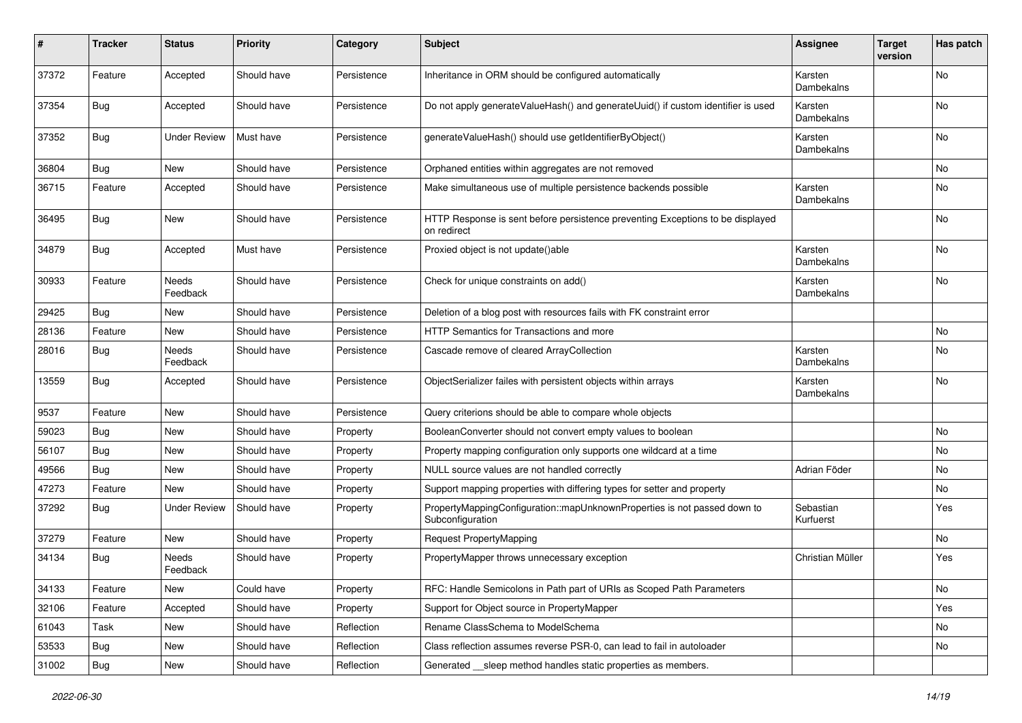| ∦     | <b>Tracker</b> | <b>Status</b>       | <b>Priority</b> | Category    | <b>Subject</b>                                                                                | <b>Assignee</b>        | <b>Target</b><br>version | Has patch |
|-------|----------------|---------------------|-----------------|-------------|-----------------------------------------------------------------------------------------------|------------------------|--------------------------|-----------|
| 37372 | Feature        | Accepted            | Should have     | Persistence | Inheritance in ORM should be configured automatically                                         | Karsten<br>Dambekalns  |                          | No        |
| 37354 | Bug            | Accepted            | Should have     | Persistence | Do not apply generateValueHash() and generateUuid() if custom identifier is used              | Karsten<br>Dambekalns  |                          | No        |
| 37352 | Bug            | <b>Under Review</b> | Must have       | Persistence | generateValueHash() should use getIdentifierByObject()                                        | Karsten<br>Dambekalns  |                          | No        |
| 36804 | Bug            | <b>New</b>          | Should have     | Persistence | Orphaned entities within aggregates are not removed                                           |                        |                          | No        |
| 36715 | Feature        | Accepted            | Should have     | Persistence | Make simultaneous use of multiple persistence backends possible                               | Karsten<br>Dambekalns  |                          | No        |
| 36495 | Bug            | New                 | Should have     | Persistence | HTTP Response is sent before persistence preventing Exceptions to be displayed<br>on redirect |                        |                          | No        |
| 34879 | Bug            | Accepted            | Must have       | Persistence | Proxied object is not update()able                                                            | Karsten<br>Dambekalns  |                          | No        |
| 30933 | Feature        | Needs<br>Feedback   | Should have     | Persistence | Check for unique constraints on add()                                                         | Karsten<br>Dambekalns  |                          | No        |
| 29425 | Bug            | New                 | Should have     | Persistence | Deletion of a blog post with resources fails with FK constraint error                         |                        |                          |           |
| 28136 | Feature        | New                 | Should have     | Persistence | HTTP Semantics for Transactions and more                                                      |                        |                          | No        |
| 28016 | Bug            | Needs<br>Feedback   | Should have     | Persistence | Cascade remove of cleared ArrayCollection                                                     | Karsten<br>Dambekalns  |                          | No        |
| 13559 | <b>Bug</b>     | Accepted            | Should have     | Persistence | ObjectSerializer failes with persistent objects within arrays                                 | Karsten<br>Dambekalns  |                          | No        |
| 9537  | Feature        | New                 | Should have     | Persistence | Query criterions should be able to compare whole objects                                      |                        |                          |           |
| 59023 | Bug            | New                 | Should have     | Property    | BooleanConverter should not convert empty values to boolean                                   |                        |                          | No        |
| 56107 | <b>Bug</b>     | New                 | Should have     | Property    | Property mapping configuration only supports one wildcard at a time                           |                        |                          | No        |
| 49566 | Bug            | New                 | Should have     | Property    | NULL source values are not handled correctly                                                  | Adrian Föder           |                          | No        |
| 47273 | Feature        | New                 | Should have     | Property    | Support mapping properties with differing types for setter and property                       |                        |                          | No        |
| 37292 | Bug            | <b>Under Review</b> | Should have     | Property    | PropertyMappingConfiguration::mapUnknownProperties is not passed down to<br>Subconfiguration  | Sebastian<br>Kurfuerst |                          | Yes       |
| 37279 | Feature        | New                 | Should have     | Property    | Request PropertyMapping                                                                       |                        |                          | No        |
| 34134 | Bug            | Needs<br>Feedback   | Should have     | Property    | PropertyMapper throws unnecessary exception                                                   | Christian Müller       |                          | Yes       |
| 34133 | Feature        | New                 | Could have      | Property    | RFC: Handle Semicolons in Path part of URIs as Scoped Path Parameters                         |                        |                          | No        |
| 32106 | Feature        | Accepted            | Should have     | Property    | Support for Object source in PropertyMapper                                                   |                        |                          | Yes       |
| 61043 | Task           | New                 | Should have     | Reflection  | Rename ClassSchema to ModelSchema                                                             |                        |                          | No        |
| 53533 | <b>Bug</b>     | New                 | Should have     | Reflection  | Class reflection assumes reverse PSR-0, can lead to fail in autoloader                        |                        |                          | No        |
| 31002 | <b>Bug</b>     | New                 | Should have     | Reflection  | Generated __sleep method handles static properties as members.                                |                        |                          |           |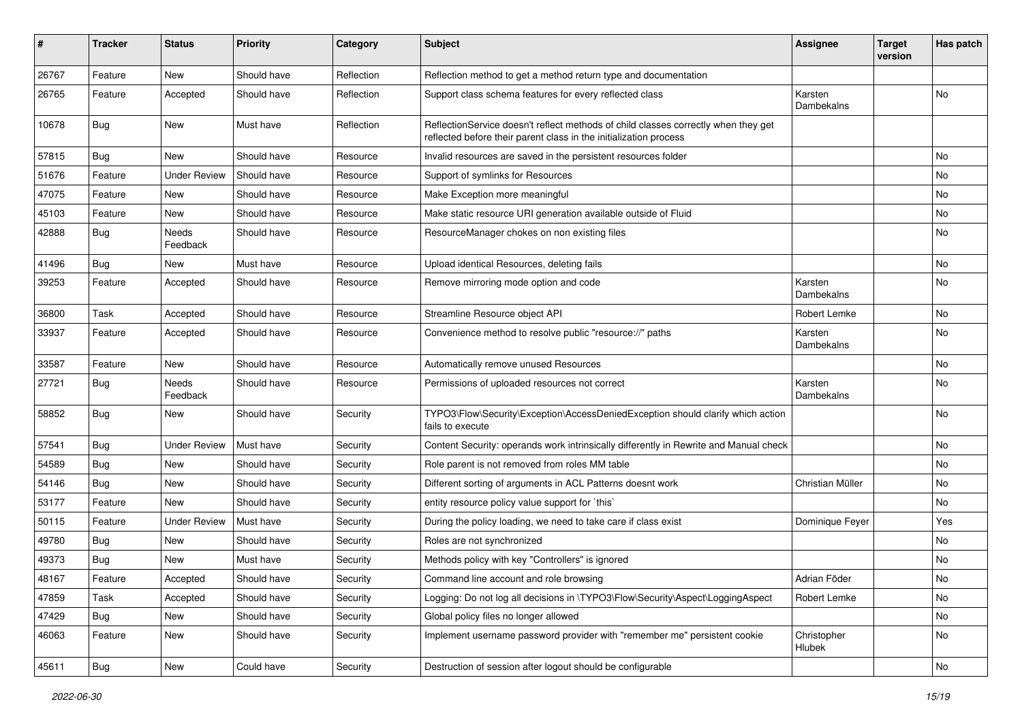| $\#$  | <b>Tracker</b> | <b>Status</b>       | <b>Priority</b> | Category   | Subject                                                                                                                                                 | <b>Assignee</b>       | <b>Target</b><br>version | Has patch |
|-------|----------------|---------------------|-----------------|------------|---------------------------------------------------------------------------------------------------------------------------------------------------------|-----------------------|--------------------------|-----------|
| 26767 | Feature        | New                 | Should have     | Reflection | Reflection method to get a method return type and documentation                                                                                         |                       |                          |           |
| 26765 | Feature        | Accepted            | Should have     | Reflection | Support class schema features for every reflected class                                                                                                 | Karsten<br>Dambekalns |                          | No        |
| 10678 | <b>Bug</b>     | New                 | Must have       | Reflection | ReflectionService doesn't reflect methods of child classes correctly when they get<br>reflected before their parent class in the initialization process |                       |                          |           |
| 57815 | <b>Bug</b>     | New                 | Should have     | Resource   | Invalid resources are saved in the persistent resources folder                                                                                          |                       |                          | No.       |
| 51676 | Feature        | <b>Under Review</b> | Should have     | Resource   | Support of symlinks for Resources                                                                                                                       |                       |                          | No        |
| 47075 | Feature        | New                 | Should have     | Resource   | Make Exception more meaningful                                                                                                                          |                       |                          | No        |
| 45103 | Feature        | New                 | Should have     | Resource   | Make static resource URI generation available outside of Fluid                                                                                          |                       |                          | No        |
| 42888 | <b>Bug</b>     | Needs<br>Feedback   | Should have     | Resource   | ResourceManager chokes on non existing files                                                                                                            |                       |                          | No        |
| 41496 | Bug            | New                 | Must have       | Resource   | Upload identical Resources, deleting fails                                                                                                              |                       |                          | No        |
| 39253 | Feature        | Accepted            | Should have     | Resource   | Remove mirroring mode option and code                                                                                                                   | Karsten<br>Dambekalns |                          | No        |
| 36800 | Task           | Accepted            | Should have     | Resource   | Streamline Resource object API                                                                                                                          | Robert Lemke          |                          | No        |
| 33937 | Feature        | Accepted            | Should have     | Resource   | Convenience method to resolve public "resource://" paths                                                                                                | Karsten<br>Dambekalns |                          | No        |
| 33587 | Feature        | New                 | Should have     | Resource   | Automatically remove unused Resources                                                                                                                   |                       |                          | No        |
| 27721 | Bug            | Needs<br>Feedback   | Should have     | Resource   | Permissions of uploaded resources not correct                                                                                                           | Karsten<br>Dambekalns |                          | No        |
| 58852 | <b>Bug</b>     | New                 | Should have     | Security   | TYPO3\Flow\Security\Exception\AccessDeniedException should clarify which action<br>fails to execute                                                     |                       |                          | No        |
| 57541 | <b>Bug</b>     | <b>Under Review</b> | Must have       | Security   | Content Security: operands work intrinsically differently in Rewrite and Manual check                                                                   |                       |                          | No        |
| 54589 | <b>Bug</b>     | New                 | Should have     | Security   | Role parent is not removed from roles MM table                                                                                                          |                       |                          | No        |
| 54146 | <b>Bug</b>     | New                 | Should have     | Security   | Different sorting of arguments in ACL Patterns doesnt work                                                                                              | Christian Müller      |                          | No        |
| 53177 | Feature        | New                 | Should have     | Security   | entity resource policy value support for `this`                                                                                                         |                       |                          | No        |
| 50115 | Feature        | <b>Under Review</b> | Must have       | Security   | During the policy loading, we need to take care if class exist                                                                                          | Dominique Feyer       |                          | Yes       |
| 49780 | <b>Bug</b>     | New                 | Should have     | Security   | Roles are not synchronized                                                                                                                              |                       |                          | No        |
| 49373 | Bug            | New                 | Must have       | Security   | Methods policy with key "Controllers" is ignored                                                                                                        |                       |                          | No        |
| 48167 | Feature        | Accepted            | Should have     | Security   | Command line account and role browsing                                                                                                                  | Adrian Föder          |                          | No        |
| 47859 | Task           | Accepted            | Should have     | Security   | Logging: Do not log all decisions in \TYPO3\Flow\Security\Aspect\LoggingAspect                                                                          | Robert Lemke          |                          | No        |
| 47429 | Bug            | New                 | Should have     | Security   | Global policy files no longer allowed                                                                                                                   |                       |                          | No        |
| 46063 | Feature        | New                 | Should have     | Security   | Implement username password provider with "remember me" persistent cookie                                                                               | Christopher<br>Hlubek |                          | No        |
| 45611 | <b>Bug</b>     | New                 | Could have      | Security   | Destruction of session after logout should be configurable                                                                                              |                       |                          | No        |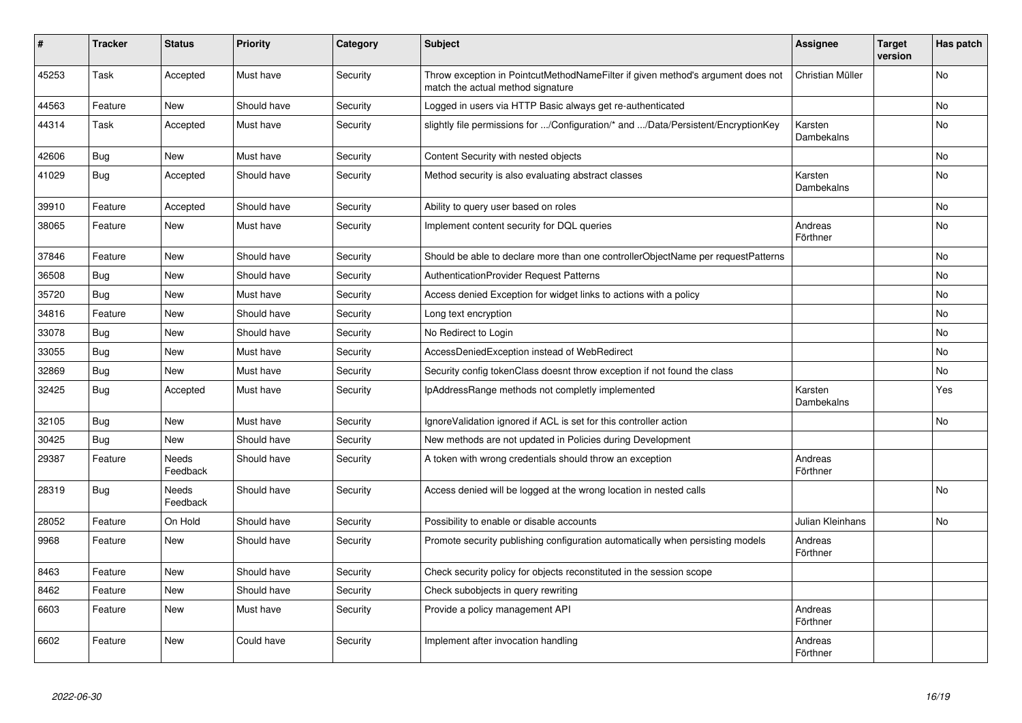| #     | <b>Tracker</b> | <b>Status</b>     | <b>Priority</b> | Category | <b>Subject</b>                                                                                                       | Assignee                     | <b>Target</b><br>version | Has patch      |
|-------|----------------|-------------------|-----------------|----------|----------------------------------------------------------------------------------------------------------------------|------------------------------|--------------------------|----------------|
| 45253 | Task           | Accepted          | Must have       | Security | Throw exception in PointcutMethodNameFilter if given method's argument does not<br>match the actual method signature | Christian Müller             |                          | <b>No</b>      |
| 44563 | Feature        | <b>New</b>        | Should have     | Security | Logged in users via HTTP Basic always get re-authenticated                                                           |                              |                          | <b>No</b>      |
| 44314 | Task           | Accepted          | Must have       | Security | slightly file permissions for /Configuration/* and /Data/Persistent/EncryptionKey                                    | Karsten<br><b>Dambekalns</b> |                          | No             |
| 42606 | Bug            | <b>New</b>        | Must have       | Security | Content Security with nested objects                                                                                 |                              |                          | <b>No</b>      |
| 41029 | Bug            | Accepted          | Should have     | Security | Method security is also evaluating abstract classes                                                                  | Karsten<br>Dambekalns        |                          | <b>No</b>      |
| 39910 | Feature        | Accepted          | Should have     | Security | Ability to query user based on roles                                                                                 |                              |                          | No             |
| 38065 | Feature        | <b>New</b>        | Must have       | Security | Implement content security for DQL queries                                                                           | Andreas<br>Förthner          |                          | No             |
| 37846 | Feature        | New               | Should have     | Security | Should be able to declare more than one controllerObjectName per requestPatterns                                     |                              |                          | No             |
| 36508 | Bug            | <b>New</b>        | Should have     | Security | <b>AuthenticationProvider Request Patterns</b>                                                                       |                              |                          | No             |
| 35720 | <b>Bug</b>     | New               | Must have       | Security | Access denied Exception for widget links to actions with a policy                                                    |                              |                          | No             |
| 34816 | Feature        | New               | Should have     | Security | Long text encryption                                                                                                 |                              |                          | No             |
| 33078 | Bug            | <b>New</b>        | Should have     | Security | No Redirect to Login                                                                                                 |                              |                          | <b>No</b>      |
| 33055 | Bug            | New               | Must have       | Security | AccessDeniedException instead of WebRedirect                                                                         |                              |                          | <b>No</b>      |
| 32869 | <b>Bug</b>     | New               | Must have       | Security | Security config tokenClass doesnt throw exception if not found the class                                             |                              |                          | N <sub>o</sub> |
| 32425 | <b>Bug</b>     | Accepted          | Must have       | Security | IpAddressRange methods not completly implemented                                                                     | Karsten<br>Dambekalns        |                          | Yes            |
| 32105 | <b>Bug</b>     | New               | Must have       | Security | IgnoreValidation ignored if ACL is set for this controller action                                                    |                              |                          | No             |
| 30425 | <b>Bug</b>     | New               | Should have     | Security | New methods are not updated in Policies during Development                                                           |                              |                          |                |
| 29387 | Feature        | Needs<br>Feedback | Should have     | Security | A token with wrong credentials should throw an exception                                                             | Andreas<br>Förthner          |                          |                |
| 28319 | <b>Bug</b>     | Needs<br>Feedback | Should have     | Security | Access denied will be logged at the wrong location in nested calls                                                   |                              |                          | No             |
| 28052 | Feature        | On Hold           | Should have     | Security | Possibility to enable or disable accounts                                                                            | Julian Kleinhans             |                          | No             |
| 9968  | Feature        | New               | Should have     | Security | Promote security publishing configuration automatically when persisting models                                       | Andreas<br>Förthner          |                          |                |
| 8463  | Feature        | New               | Should have     | Security | Check security policy for objects reconstituted in the session scope                                                 |                              |                          |                |
| 8462  | Feature        | New               | Should have     | Security | Check subobjects in query rewriting                                                                                  |                              |                          |                |
| 6603  | Feature        | New               | Must have       | Security | Provide a policy management API                                                                                      | Andreas<br>Förthner          |                          |                |
| 6602  | Feature        | New               | Could have      | Security | Implement after invocation handling                                                                                  | Andreas<br>Förthner          |                          |                |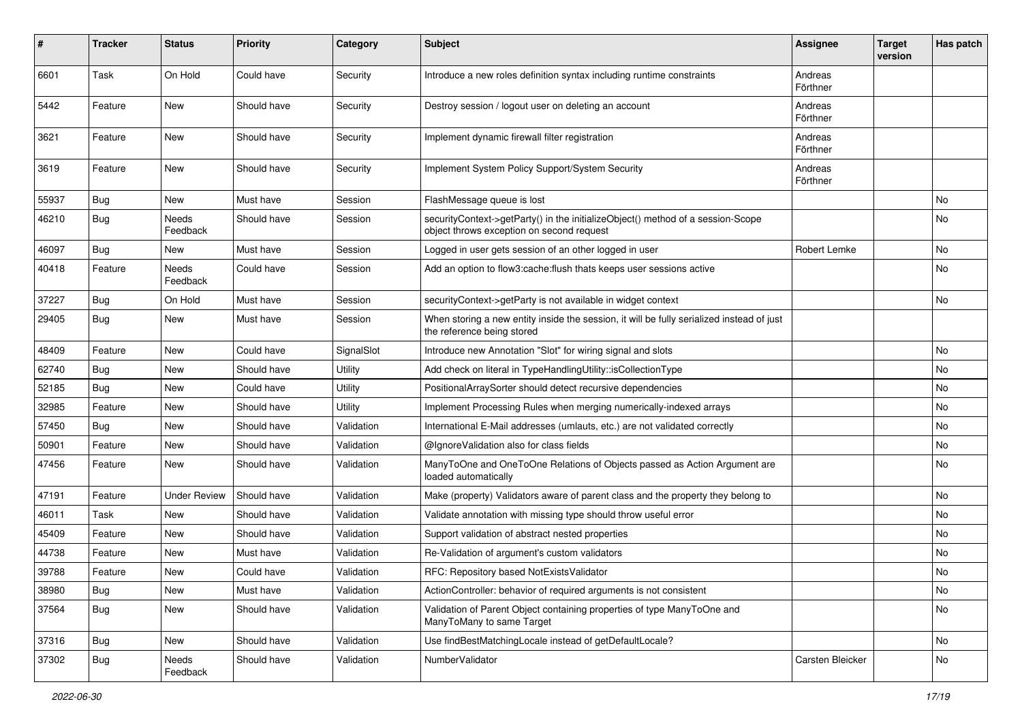| #     | <b>Tracker</b> | <b>Status</b>       | Priority    | Category       | <b>Subject</b>                                                                                                               | <b>Assignee</b>     | <b>Target</b><br>version | Has patch |
|-------|----------------|---------------------|-------------|----------------|------------------------------------------------------------------------------------------------------------------------------|---------------------|--------------------------|-----------|
| 6601  | Task           | On Hold             | Could have  | Security       | Introduce a new roles definition syntax including runtime constraints                                                        | Andreas<br>Förthner |                          |           |
| 5442  | Feature        | New                 | Should have | Security       | Destroy session / logout user on deleting an account                                                                         | Andreas<br>Förthner |                          |           |
| 3621  | Feature        | New                 | Should have | Security       | Implement dynamic firewall filter registration                                                                               | Andreas<br>Förthner |                          |           |
| 3619  | Feature        | <b>New</b>          | Should have | Security       | Implement System Policy Support/System Security                                                                              | Andreas<br>Förthner |                          |           |
| 55937 | Bug            | <b>New</b>          | Must have   | Session        | FlashMessage queue is lost                                                                                                   |                     |                          | No.       |
| 46210 | Bug            | Needs<br>Feedback   | Should have | Session        | securityContext->getParty() in the initializeObject() method of a session-Scope<br>object throws exception on second request |                     |                          | No        |
| 46097 | Bug            | New                 | Must have   | Session        | Logged in user gets session of an other logged in user                                                                       | Robert Lemke        |                          | No        |
| 40418 | Feature        | Needs<br>Feedback   | Could have  | Session        | Add an option to flow3:cache: flush thats keeps user sessions active                                                         |                     |                          | No.       |
| 37227 | Bug            | On Hold             | Must have   | Session        | securityContext->getParty is not available in widget context                                                                 |                     |                          | <b>No</b> |
| 29405 | Bug            | New                 | Must have   | Session        | When storing a new entity inside the session, it will be fully serialized instead of just<br>the reference being stored      |                     |                          |           |
| 48409 | Feature        | New                 | Could have  | SignalSlot     | Introduce new Annotation "Slot" for wiring signal and slots                                                                  |                     |                          | No        |
| 62740 | Bug            | New                 | Should have | <b>Utility</b> | Add check on literal in TypeHandlingUtility::isCollectionType                                                                |                     |                          | No        |
| 52185 | Bug            | <b>New</b>          | Could have  | Utility        | PositionalArraySorter should detect recursive dependencies                                                                   |                     |                          | No        |
| 32985 | Feature        | New                 | Should have | Utility        | Implement Processing Rules when merging numerically-indexed arrays                                                           |                     |                          | No        |
| 57450 | Bug            | New                 | Should have | Validation     | International E-Mail addresses (umlauts, etc.) are not validated correctly                                                   |                     |                          | No        |
| 50901 | Feature        | New                 | Should have | Validation     | @IgnoreValidation also for class fields                                                                                      |                     |                          | No        |
| 47456 | Feature        | New                 | Should have | Validation     | ManyToOne and OneToOne Relations of Objects passed as Action Argument are<br>loaded automatically                            |                     |                          | No        |
| 47191 | Feature        | <b>Under Review</b> | Should have | Validation     | Make (property) Validators aware of parent class and the property they belong to                                             |                     |                          | No        |
| 46011 | Task           | <b>New</b>          | Should have | Validation     | Validate annotation with missing type should throw useful error                                                              |                     |                          | No        |
| 45409 | Feature        | New                 | Should have | Validation     | Support validation of abstract nested properties                                                                             |                     |                          | No        |
| 44738 | Feature        | New                 | Must have   | Validation     | Re-Validation of argument's custom validators                                                                                |                     |                          | No        |
| 39788 | Feature        | New                 | Could have  | Validation     | RFC: Repository based NotExistsValidator                                                                                     |                     |                          | No        |
| 38980 | <b>Bug</b>     | New                 | Must have   | Validation     | ActionController: behavior of required arguments is not consistent                                                           |                     |                          | No        |
| 37564 | Bug            | New                 | Should have | Validation     | Validation of Parent Object containing properties of type ManyToOne and<br>ManyToMany to same Target                         |                     |                          | No        |
| 37316 | Bug            | New                 | Should have | Validation     | Use findBestMatchingLocale instead of getDefaultLocale?                                                                      |                     |                          | No        |
| 37302 | <b>Bug</b>     | Needs<br>Feedback   | Should have | Validation     | NumberValidator                                                                                                              | Carsten Bleicker    |                          | No        |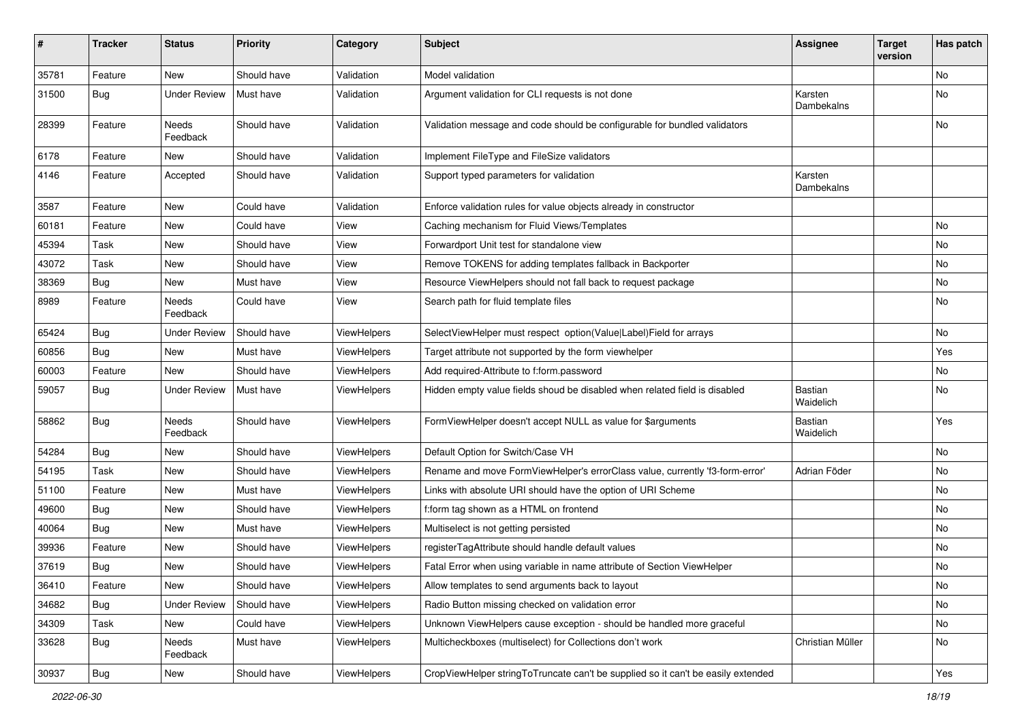| $\pmb{\#}$ | <b>Tracker</b> | <b>Status</b>       | <b>Priority</b> | Category           | <b>Subject</b>                                                                   | <b>Assignee</b>             | <b>Target</b><br>version | Has patch |
|------------|----------------|---------------------|-----------------|--------------------|----------------------------------------------------------------------------------|-----------------------------|--------------------------|-----------|
| 35781      | Feature        | New                 | Should have     | Validation         | Model validation                                                                 |                             |                          | No        |
| 31500      | <b>Bug</b>     | <b>Under Review</b> | Must have       | Validation         | Argument validation for CLI requests is not done                                 | Karsten<br>Dambekalns       |                          | No        |
| 28399      | Feature        | Needs<br>Feedback   | Should have     | Validation         | Validation message and code should be configurable for bundled validators        |                             |                          | No        |
| 6178       | Feature        | <b>New</b>          | Should have     | Validation         | Implement FileType and FileSize validators                                       |                             |                          |           |
| 4146       | Feature        | Accepted            | Should have     | Validation         | Support typed parameters for validation                                          | Karsten<br>Dambekalns       |                          |           |
| 3587       | Feature        | New                 | Could have      | Validation         | Enforce validation rules for value objects already in constructor                |                             |                          |           |
| 60181      | Feature        | New                 | Could have      | View               | Caching mechanism for Fluid Views/Templates                                      |                             |                          | No        |
| 45394      | Task           | New                 | Should have     | View               | Forwardport Unit test for standalone view                                        |                             |                          | No        |
| 43072      | Task           | New                 | Should have     | View               | Remove TOKENS for adding templates fallback in Backporter                        |                             |                          | No        |
| 38369      | <b>Bug</b>     | New                 | Must have       | View               | Resource ViewHelpers should not fall back to request package                     |                             |                          | No        |
| 8989       | Feature        | Needs<br>Feedback   | Could have      | View               | Search path for fluid template files                                             |                             |                          | No        |
| 65424      | Bug            | <b>Under Review</b> | Should have     | ViewHelpers        | SelectViewHelper must respect option(Value Label)Field for arrays                |                             |                          | No        |
| 60856      | Bug            | New                 | Must have       | ViewHelpers        | Target attribute not supported by the form viewhelper                            |                             |                          | Yes       |
| 60003      | Feature        | New                 | Should have     | ViewHelpers        | Add required-Attribute to f:form.password                                        |                             |                          | No        |
| 59057      | <b>Bug</b>     | <b>Under Review</b> | Must have       | <b>ViewHelpers</b> | Hidden empty value fields shoud be disabled when related field is disabled       | <b>Bastian</b><br>Waidelich |                          | No        |
| 58862      | Bug            | Needs<br>Feedback   | Should have     | ViewHelpers        | FormViewHelper doesn't accept NULL as value for \$arguments                      | <b>Bastian</b><br>Waidelich |                          | Yes       |
| 54284      | Bug            | New                 | Should have     | ViewHelpers        | Default Option for Switch/Case VH                                                |                             |                          | No        |
| 54195      | Task           | New                 | Should have     | ViewHelpers        | Rename and move FormViewHelper's errorClass value, currently 'f3-form-error'     | Adrian Föder                |                          | No        |
| 51100      | Feature        | New                 | Must have       | ViewHelpers        | Links with absolute URI should have the option of URI Scheme                     |                             |                          | No        |
| 49600      | <b>Bug</b>     | New                 | Should have     | <b>ViewHelpers</b> | f:form tag shown as a HTML on frontend                                           |                             |                          | No        |
| 40064      | <b>Bug</b>     | New                 | Must have       | ViewHelpers        | Multiselect is not getting persisted                                             |                             |                          | No        |
| 39936      | Feature        | New                 | Should have     | <b>ViewHelpers</b> | registerTagAttribute should handle default values                                |                             |                          | No        |
| 37619      | <b>Bug</b>     | New                 | Should have     | ViewHelpers        | Fatal Error when using variable in name attribute of Section ViewHelper          |                             |                          | No        |
| 36410      | Feature        | New                 | Should have     | ViewHelpers        | Allow templates to send arguments back to layout                                 |                             |                          | No        |
| 34682      | <b>Bug</b>     | <b>Under Review</b> | Should have     | ViewHelpers        | Radio Button missing checked on validation error                                 |                             |                          | No        |
| 34309      | Task           | New                 | Could have      | ViewHelpers        | Unknown ViewHelpers cause exception - should be handled more graceful            |                             |                          | No        |
| 33628      | <b>Bug</b>     | Needs<br>Feedback   | Must have       | ViewHelpers        | Multicheckboxes (multiselect) for Collections don't work                         | Christian Müller            |                          | No        |
| 30937      | <b>Bug</b>     | New                 | Should have     | ViewHelpers        | CropViewHelper stringToTruncate can't be supplied so it can't be easily extended |                             |                          | Yes       |